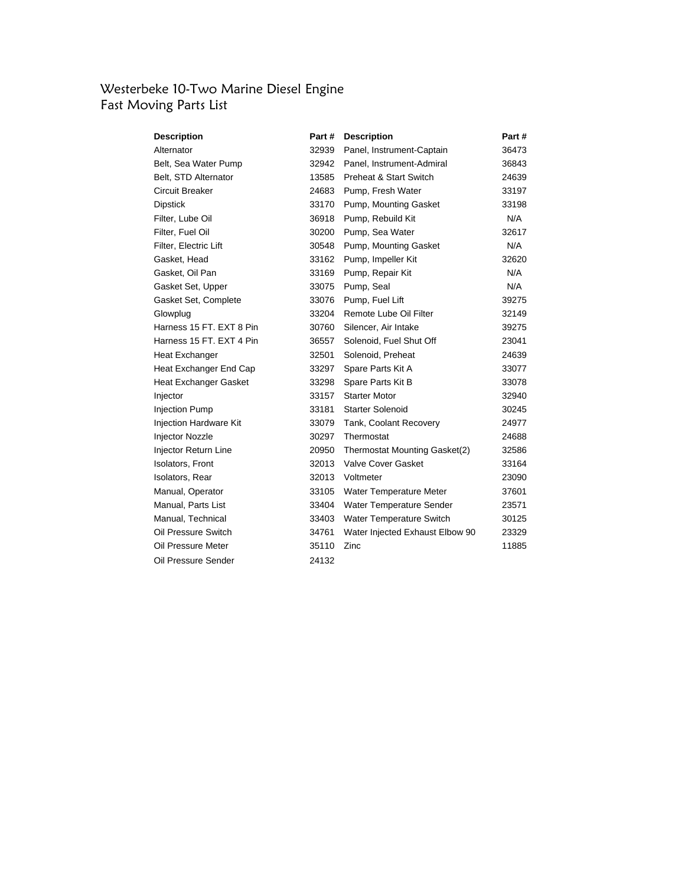### Westerbeke 10-Two Marine Diesel Engine Fast Moving Parts List

| <b>Description</b>          | Part # | <b>Description</b>              | Part # |
|-----------------------------|--------|---------------------------------|--------|
| Alternator                  | 32939  | Panel, Instrument-Captain       | 36473  |
| Belt, Sea Water Pump        | 32942  | Panel, Instrument-Admiral       | 36843  |
| Belt, STD Alternator        | 13585  | Preheat & Start Switch          | 24639  |
| Circuit Breaker             | 24683  | Pump, Fresh Water               | 33197  |
| <b>Dipstick</b>             | 33170  | Pump, Mounting Gasket           | 33198  |
| Filter, Lube Oil            | 36918  | Pump, Rebuild Kit               | N/A    |
| Filter, Fuel Oil            | 30200  | Pump, Sea Water                 | 32617  |
| Filter, Electric Lift       | 30548  | Pump, Mounting Gasket           | N/A    |
| Gasket, Head                | 33162  | Pump, Impeller Kit              | 32620  |
| Gasket, Oil Pan             | 33169  | Pump, Repair Kit                | N/A    |
| Gasket Set, Upper           | 33075  | Pump, Seal                      | N/A    |
| Gasket Set, Complete        | 33076  | Pump, Fuel Lift                 | 39275  |
| Glowplug                    | 33204  | Remote Lube Oil Filter          | 32149  |
| Harness 15 FT. EXT 8 Pin    | 30760  | Silencer, Air Intake            | 39275  |
| Harness 15 FT. EXT 4 Pin    | 36557  | Solenoid, Fuel Shut Off         | 23041  |
| Heat Exchanger              | 32501  | Solenoid, Preheat               | 24639  |
| Heat Exchanger End Cap      | 33297  | Spare Parts Kit A               | 33077  |
| Heat Exchanger Gasket       | 33298  | Spare Parts Kit B               | 33078  |
| Injector                    | 33157  | <b>Starter Motor</b>            | 32940  |
| <b>Injection Pump</b>       | 33181  | <b>Starter Solenoid</b>         | 30245  |
| Injection Hardware Kit      | 33079  | Tank, Coolant Recovery          | 24977  |
| <b>Injector Nozzle</b>      | 30297  | Thermostat                      | 24688  |
| <b>Injector Return Line</b> | 20950  | Thermostat Mounting Gasket(2)   | 32586  |
| <b>Isolators, Front</b>     | 32013  | <b>Valve Cover Gasket</b>       | 33164  |
| Isolators, Rear             | 32013  | Voltmeter                       | 23090  |
| Manual, Operator            | 33105  | Water Temperature Meter         | 37601  |
| Manual, Parts List          | 33404  | Water Temperature Sender        | 23571  |
| Manual, Technical           | 33403  | Water Temperature Switch        | 30125  |
| Oil Pressure Switch         | 34761  | Water Injected Exhaust Elbow 90 | 23329  |
| Oil Pressure Meter          | 35110  | Zinc                            | 11885  |
| Oil Pressure Sender         | 24132  |                                 |        |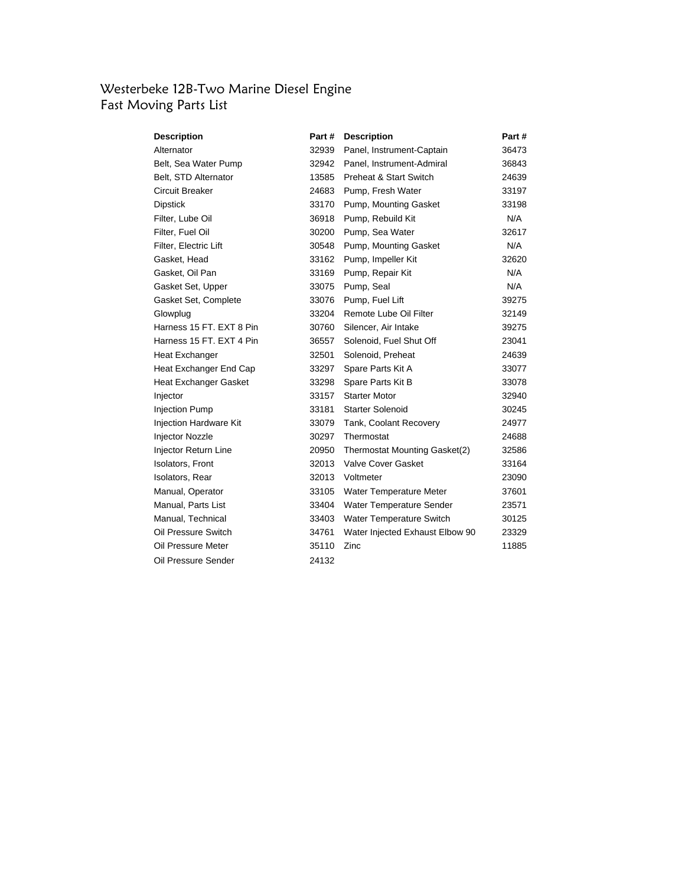### Westerbeke 12B-Two Marine Diesel Engine Fast Moving Parts List

| <b>Description</b>            | Part # | <b>Description</b>              | Part # |
|-------------------------------|--------|---------------------------------|--------|
| Alternator                    | 32939  | Panel, Instrument-Captain       | 36473  |
| Belt, Sea Water Pump          | 32942  | Panel, Instrument-Admiral       | 36843  |
| Belt, STD Alternator          | 13585  | Preheat & Start Switch          | 24639  |
| Circuit Breaker               | 24683  | Pump, Fresh Water               | 33197  |
| Dipstick                      |        | 33170 Pump, Mounting Gasket     | 33198  |
| Filter, Lube Oil              | 36918  | Pump, Rebuild Kit               | N/A    |
| Filter, Fuel Oil              | 30200  | Pump, Sea Water                 | 32617  |
| Filter, Electric Lift         | 30548  | Pump, Mounting Gasket           | N/A    |
| Gasket, Head                  | 33162  | Pump, Impeller Kit              | 32620  |
| Gasket, Oil Pan               | 33169  | Pump, Repair Kit                | N/A    |
| Gasket Set, Upper             | 33075  | Pump, Seal                      | N/A    |
| Gasket Set, Complete          | 33076  | Pump, Fuel Lift                 | 39275  |
| Glowplug                      | 33204  | Remote Lube Oil Filter          | 32149  |
| Harness 15 FT, EXT 8 Pin      | 30760  | Silencer, Air Intake            | 39275  |
| Harness 15 FT, EXT 4 Pin      | 36557  | Solenoid, Fuel Shut Off         | 23041  |
| Heat Exchanger                | 32501  | Solenoid, Preheat               | 24639  |
| Heat Exchanger End Cap        | 33297  | Spare Parts Kit A               | 33077  |
| Heat Exchanger Gasket         | 33298  | Spare Parts Kit B               | 33078  |
| Injector                      | 33157  | <b>Starter Motor</b>            | 32940  |
| <b>Injection Pump</b>         | 33181  | <b>Starter Solenoid</b>         | 30245  |
| <b>Injection Hardware Kit</b> | 33079  | Tank, Coolant Recovery          | 24977  |
| Injector Nozzle               | 30297  | Thermostat                      | 24688  |
| Injector Return Line          | 20950  | Thermostat Mounting Gasket(2)   | 32586  |
| <b>Isolators, Front</b>       | 32013  | Valve Cover Gasket              | 33164  |
| Isolators, Rear               | 32013  | Voltmeter                       | 23090  |
| Manual, Operator              | 33105  | Water Temperature Meter         | 37601  |
| Manual, Parts List            | 33404  | Water Temperature Sender        | 23571  |
| Manual, Technical             | 33403  | Water Temperature Switch        | 30125  |
| Oil Pressure Switch           | 34761  | Water Injected Exhaust Elbow 90 | 23329  |
| Oil Pressure Meter            | 35110  | Zinc                            | 11885  |
| Oil Pressure Sender           | 24132  |                                 |        |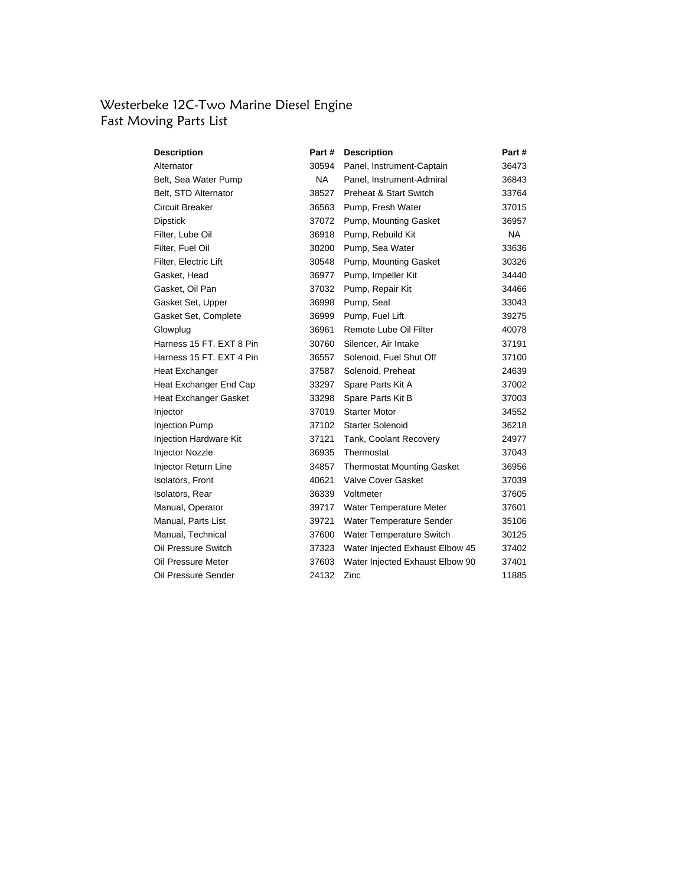#### Westerbeke 12C-Two Marine Diesel Engine Fast Moving Parts List

| Description              | Part # | <b>Description</b>                | Part #    |
|--------------------------|--------|-----------------------------------|-----------|
| Alternator               | 30594  | Panel, Instrument-Captain         | 36473     |
| Belt, Sea Water Pump     | NA.    | Panel, Instrument-Admiral         | 36843     |
| Belt, STD Alternator     | 38527  | Preheat & Start Switch            | 33764     |
| Circuit Breaker          | 36563  | Pump, Fresh Water                 | 37015     |
| <b>Dipstick</b>          |        | 37072 Pump, Mounting Gasket       | 36957     |
| Filter, Lube Oil         | 36918  | Pump, Rebuild Kit                 | <b>NA</b> |
| Filter, Fuel Oil         | 30200  | Pump, Sea Water                   | 33636     |
| Filter, Electric Lift    |        | 30548 Pump, Mounting Gasket       | 30326     |
| Gasket, Head             | 36977  | Pump, Impeller Kit                | 34440     |
| Gasket, Oil Pan          | 37032  | Pump, Repair Kit                  | 34466     |
| Gasket Set, Upper        | 36998  | Pump, Seal                        | 33043     |
| Gasket Set, Complete     | 36999  | Pump, Fuel Lift                   | 39275     |
| Glowplug                 | 36961  | Remote Lube Oil Filter            | 40078     |
| Harness 15 FT, EXT 8 Pin | 30760  | Silencer, Air Intake              | 37191     |
| Harness 15 FT. EXT 4 Pin | 36557  | Solenoid, Fuel Shut Off           | 37100     |
| Heat Exchanger           | 37587  | Solenoid, Preheat                 | 24639     |
| Heat Exchanger End Cap   | 33297  | Spare Parts Kit A                 | 37002     |
| Heat Exchanger Gasket    | 33298  | Spare Parts Kit B                 | 37003     |
| Injector                 | 37019  | <b>Starter Motor</b>              | 34552     |
| <b>Injection Pump</b>    | 37102  | <b>Starter Solenoid</b>           | 36218     |
| Injection Hardware Kit   | 37121  | Tank, Coolant Recovery            | 24977     |
| Injector Nozzle          | 36935  | Thermostat                        | 37043     |
| Injector Return Line     | 34857  | <b>Thermostat Mounting Gasket</b> | 36956     |
| <b>Isolators, Front</b>  | 40621  | <b>Valve Cover Gasket</b>         | 37039     |
| Isolators, Rear          | 36339  | Voltmeter                         | 37605     |
| Manual, Operator         | 39717  | Water Temperature Meter           | 37601     |
| Manual, Parts List       | 39721  | Water Temperature Sender          | 35106     |
| Manual, Technical        | 37600  | Water Temperature Switch          | 30125     |
| Oil Pressure Switch      | 37323  | Water Injected Exhaust Elbow 45   | 37402     |
| Oil Pressure Meter       | 37603  | Water Injected Exhaust Elbow 90   | 37401     |
| Oil Pressure Sender      | 24132  | Zinc                              | 11885     |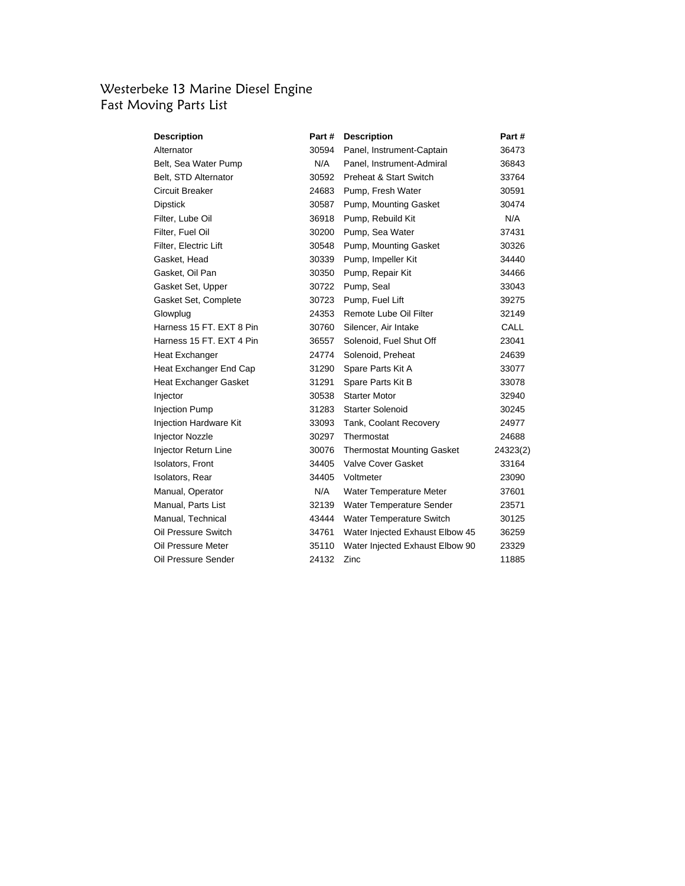# Westerbeke 13 Marine Diesel Engine Fast Moving Parts List

| <b>Description</b>       | Part # | <b>Description</b>                | Part #      |
|--------------------------|--------|-----------------------------------|-------------|
| Alternator               | 30594  | Panel, Instrument-Captain         | 36473       |
| Belt, Sea Water Pump     | N/A    | Panel, Instrument-Admiral         | 36843       |
| Belt, STD Alternator     | 30592  | Preheat & Start Switch            | 33764       |
| Circuit Breaker          | 24683  | Pump, Fresh Water                 | 30591       |
| Dipstick                 | 30587  | Pump, Mounting Gasket             | 30474       |
| Filter, Lube Oil         | 36918  | Pump, Rebuild Kit                 | N/A         |
| Filter, Fuel Oil         | 30200  | Pump, Sea Water                   | 37431       |
| Filter, Electric Lift    | 30548  | Pump, Mounting Gasket             | 30326       |
| Gasket, Head             | 30339  | Pump, Impeller Kit                | 34440       |
| Gasket, Oil Pan          | 30350  | Pump, Repair Kit                  | 34466       |
| Gasket Set, Upper        | 30722  | Pump, Seal                        | 33043       |
| Gasket Set, Complete     | 30723  | Pump, Fuel Lift                   | 39275       |
| Glowplug                 | 24353  | Remote Lube Oil Filter            | 32149       |
| Harness 15 FT. EXT 8 Pin | 30760  | Silencer, Air Intake              | <b>CALL</b> |
| Harness 15 FT, EXT 4 Pin | 36557  | Solenoid, Fuel Shut Off           | 23041       |
| Heat Exchanger           | 24774  | Solenoid, Preheat                 | 24639       |
| Heat Exchanger End Cap   | 31290  | Spare Parts Kit A                 | 33077       |
| Heat Exchanger Gasket    | 31291  | Spare Parts Kit B                 | 33078       |
| Injector                 | 30538  | <b>Starter Motor</b>              | 32940       |
| <b>Injection Pump</b>    | 31283  | <b>Starter Solenoid</b>           | 30245       |
| Injection Hardware Kit   | 33093  | Tank, Coolant Recovery            | 24977       |
| Injector Nozzle          | 30297  | Thermostat                        | 24688       |
| Injector Return Line     | 30076  | <b>Thermostat Mounting Gasket</b> | 24323(2)    |
| Isolators, Front         | 34405  | Valve Cover Gasket                | 33164       |
| Isolators, Rear          | 34405  | Voltmeter                         | 23090       |
| Manual, Operator         | N/A    | Water Temperature Meter           | 37601       |
| Manual, Parts List       | 32139  | Water Temperature Sender          | 23571       |
| Manual, Technical        | 43444  | Water Temperature Switch          | 30125       |
| Oil Pressure Switch      | 34761  | Water Injected Exhaust Elbow 45   | 36259       |
| Oil Pressure Meter       | 35110  | Water Injected Exhaust Elbow 90   | 23329       |
| Oil Pressure Sender      | 24132  | Zinc                              | 11885       |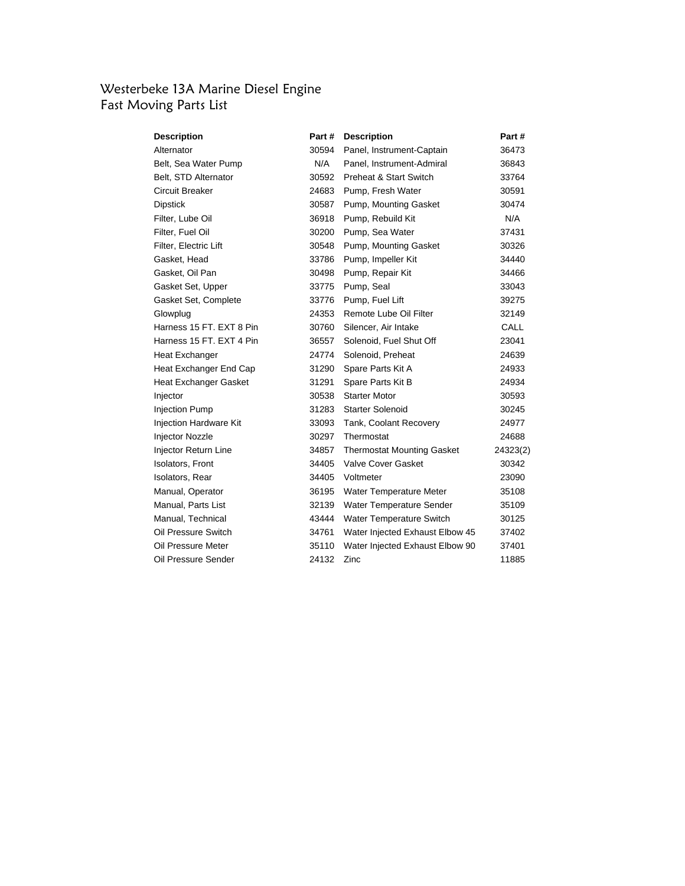# Westerbeke 13A Marine Diesel Engine Fast Moving Parts List

| <b>Description</b>       | Part # | <b>Description</b>                | Part #   |
|--------------------------|--------|-----------------------------------|----------|
| Alternator               | 30594  | Panel, Instrument-Captain         | 36473    |
| Belt, Sea Water Pump     | N/A    | Panel, Instrument-Admiral         | 36843    |
| Belt, STD Alternator     | 30592  | Preheat & Start Switch            | 33764    |
| Circuit Breaker          | 24683  | Pump, Fresh Water                 | 30591    |
| <b>Dipstick</b>          | 30587  | Pump, Mounting Gasket             | 30474    |
| Filter, Lube Oil         | 36918  | Pump, Rebuild Kit                 | N/A      |
| Filter, Fuel Oil         | 30200  | Pump, Sea Water                   | 37431    |
| Filter, Electric Lift    | 30548  | Pump, Mounting Gasket             | 30326    |
| Gasket, Head             | 33786  | Pump, Impeller Kit                | 34440    |
| Gasket, Oil Pan          | 30498  | Pump, Repair Kit                  | 34466    |
| Gasket Set, Upper        | 33775  | Pump, Seal                        | 33043    |
| Gasket Set, Complete     | 33776  | Pump, Fuel Lift                   | 39275    |
| Glowplug                 | 24353  | Remote Lube Oil Filter            | 32149    |
| Harness 15 FT. EXT 8 Pin | 30760  | Silencer, Air Intake              | CALL     |
| Harness 15 FT. EXT 4 Pin | 36557  | Solenoid, Fuel Shut Off           | 23041    |
| Heat Exchanger           | 24774  | Solenoid, Preheat                 | 24639    |
| Heat Exchanger End Cap   | 31290  | Spare Parts Kit A                 | 24933    |
| Heat Exchanger Gasket    | 31291  | Spare Parts Kit B                 | 24934    |
| Injector                 | 30538  | <b>Starter Motor</b>              | 30593    |
| <b>Injection Pump</b>    | 31283  | Starter Solenoid                  | 30245    |
| Injection Hardware Kit   | 33093  | Tank, Coolant Recovery            | 24977    |
| Injector Nozzle          | 30297  | Thermostat                        | 24688    |
| Injector Return Line     | 34857  | <b>Thermostat Mounting Gasket</b> | 24323(2) |
| Isolators, Front         | 34405  | <b>Valve Cover Gasket</b>         | 30342    |
| Isolators, Rear          | 34405  | Voltmeter                         | 23090    |
| Manual, Operator         | 36195  | Water Temperature Meter           | 35108    |
| Manual, Parts List       | 32139  | Water Temperature Sender          | 35109    |
| Manual, Technical        | 43444  | Water Temperature Switch          | 30125    |
| Oil Pressure Switch      | 34761  | Water Injected Exhaust Elbow 45   | 37402    |
| Oil Pressure Meter       | 35110  | Water Injected Exhaust Elbow 90   | 37401    |
| Oil Pressure Sender      | 24132  | Zinc                              | 11885    |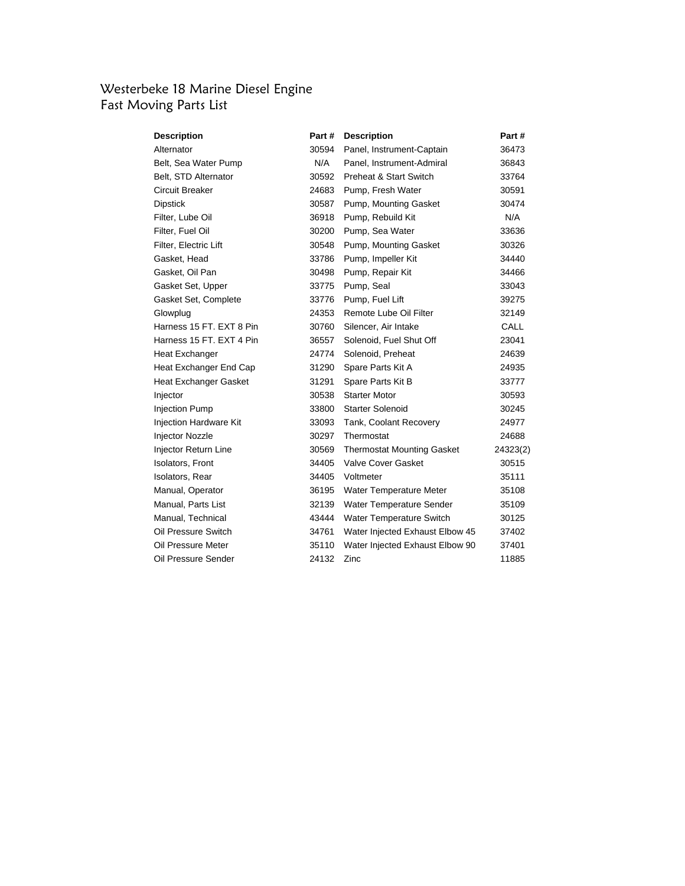# Westerbeke 18 Marine Diesel Engine Fast Moving Parts List

| <b>Description</b>       | Part# | <b>Description</b>                | Part#    |
|--------------------------|-------|-----------------------------------|----------|
| Alternator               | 30594 | Panel, Instrument-Captain         | 36473    |
| Belt, Sea Water Pump     | N/A   | Panel, Instrument-Admiral         | 36843    |
| Belt, STD Alternator     | 30592 | <b>Preheat &amp; Start Switch</b> | 33764    |
| Circuit Breaker          | 24683 | Pump, Fresh Water                 | 30591    |
| Dipstick                 | 30587 | Pump, Mounting Gasket             | 30474    |
| Filter, Lube Oil         | 36918 | Pump, Rebuild Kit                 | N/A      |
| Filter, Fuel Oil         | 30200 | Pump, Sea Water                   | 33636    |
| Filter, Electric Lift    | 30548 | Pump, Mounting Gasket             | 30326    |
| Gasket, Head             | 33786 | Pump, Impeller Kit                | 34440    |
| Gasket, Oil Pan          | 30498 | Pump, Repair Kit                  | 34466    |
| Gasket Set, Upper        | 33775 | Pump, Seal                        | 33043    |
| Gasket Set, Complete     | 33776 | Pump, Fuel Lift                   | 39275    |
| Glowplug                 | 24353 | Remote Lube Oil Filter            | 32149    |
| Harness 15 FT, EXT 8 Pin | 30760 | Silencer, Air Intake              | CALL     |
| Harness 15 FT. EXT 4 Pin | 36557 | Solenoid, Fuel Shut Off           | 23041    |
| Heat Exchanger           | 24774 | Solenoid, Preheat                 | 24639    |
| Heat Exchanger End Cap   | 31290 | Spare Parts Kit A                 | 24935    |
| Heat Exchanger Gasket    | 31291 | Spare Parts Kit B                 | 33777    |
| Injector                 | 30538 | <b>Starter Motor</b>              | 30593    |
| <b>Injection Pump</b>    | 33800 | <b>Starter Solenoid</b>           | 30245    |
| Injection Hardware Kit   | 33093 | Tank, Coolant Recovery            | 24977    |
| <b>Injector Nozzle</b>   | 30297 | Thermostat                        | 24688    |
| Injector Return Line     | 30569 | <b>Thermostat Mounting Gasket</b> | 24323(2) |
| <b>Isolators, Front</b>  | 34405 | <b>Valve Cover Gasket</b>         | 30515    |
| Isolators, Rear          | 34405 | Voltmeter                         | 35111    |
| Manual, Operator         | 36195 | Water Temperature Meter           | 35108    |
| Manual, Parts List       | 32139 | Water Temperature Sender          | 35109    |
| Manual, Technical        | 43444 | Water Temperature Switch          | 30125    |
| Oil Pressure Switch      | 34761 | Water Injected Exhaust Elbow 45   | 37402    |
| Oil Pressure Meter       | 35110 | Water Injected Exhaust Elbow 90   | 37401    |
| Oil Pressure Sender      | 24132 | Zinc                              | 11885    |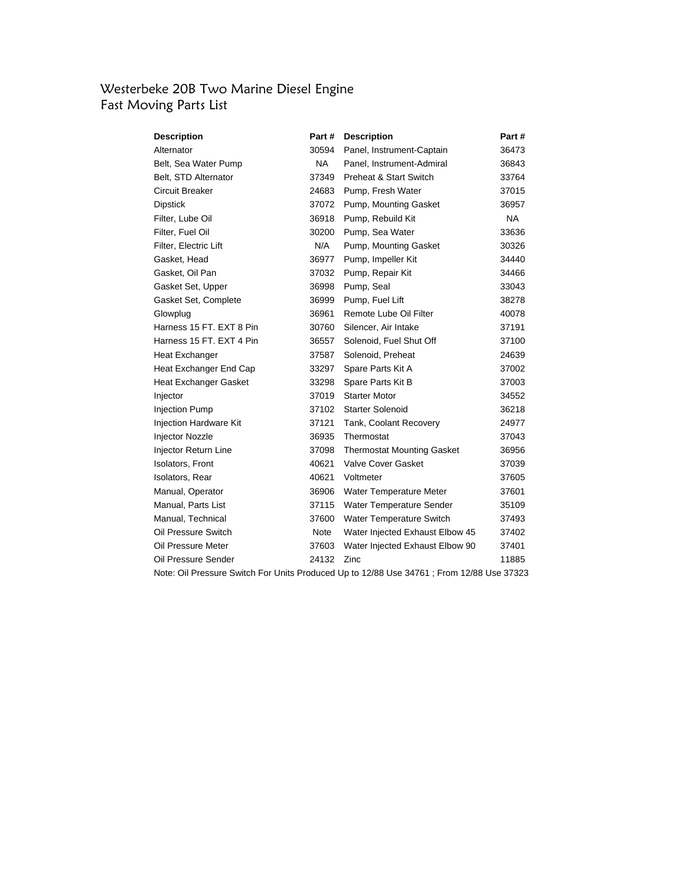### Westerbeke 20B Two Marine Diesel Engine Fast Moving Parts List

| Alternator<br>30594<br>Panel, Instrument-Captain<br>36473<br>Belt, Sea Water Pump<br>NA .<br>Panel, Instrument-Admiral<br>36843<br>Belt, STD Alternator<br>37349<br><b>Preheat &amp; Start Switch</b><br>33764<br><b>Circuit Breaker</b><br>24683<br>Pump, Fresh Water<br>37015<br><b>Dipstick</b><br>Pump, Mounting Gasket<br>37072<br>36957<br>Filter, Lube Oil<br><b>NA</b><br>36918<br>Pump, Rebuild Kit |
|--------------------------------------------------------------------------------------------------------------------------------------------------------------------------------------------------------------------------------------------------------------------------------------------------------------------------------------------------------------------------------------------------------------|
|                                                                                                                                                                                                                                                                                                                                                                                                              |
|                                                                                                                                                                                                                                                                                                                                                                                                              |
|                                                                                                                                                                                                                                                                                                                                                                                                              |
|                                                                                                                                                                                                                                                                                                                                                                                                              |
|                                                                                                                                                                                                                                                                                                                                                                                                              |
|                                                                                                                                                                                                                                                                                                                                                                                                              |
| Filter, Fuel Oil<br>Pump, Sea Water<br>33636<br>30200                                                                                                                                                                                                                                                                                                                                                        |
| N/A<br>Filter, Electric Lift<br>Pump, Mounting Gasket<br>30326                                                                                                                                                                                                                                                                                                                                               |
| Gasket, Head<br>Pump, Impeller Kit<br>34440<br>36977                                                                                                                                                                                                                                                                                                                                                         |
| Gasket, Oil Pan<br>37032<br>Pump, Repair Kit<br>34466                                                                                                                                                                                                                                                                                                                                                        |
| Gasket Set, Upper<br>36998<br>Pump, Seal<br>33043                                                                                                                                                                                                                                                                                                                                                            |
| Gasket Set, Complete<br>36999<br>Pump, Fuel Lift<br>38278                                                                                                                                                                                                                                                                                                                                                    |
| 36961<br>Remote Lube Oil Filter<br>Glowplug<br>40078                                                                                                                                                                                                                                                                                                                                                         |
| Harness 15 FT, EXT 8 Pin<br>30760<br>Silencer, Air Intake<br>37191                                                                                                                                                                                                                                                                                                                                           |
| Harness 15 FT, EXT 4 Pin<br>Solenoid, Fuel Shut Off<br>36557<br>37100                                                                                                                                                                                                                                                                                                                                        |
| 24639<br>37587<br>Solenoid, Preheat<br>Heat Exchanger                                                                                                                                                                                                                                                                                                                                                        |
| Heat Exchanger End Cap<br>33297<br>Spare Parts Kit A<br>37002                                                                                                                                                                                                                                                                                                                                                |
| <b>Heat Exchanger Gasket</b><br>33298<br>Spare Parts Kit B<br>37003                                                                                                                                                                                                                                                                                                                                          |
| <b>Starter Motor</b><br>Injector<br>37019<br>34552                                                                                                                                                                                                                                                                                                                                                           |
| <b>Starter Solenoid</b><br>36218<br><b>Injection Pump</b><br>37102                                                                                                                                                                                                                                                                                                                                           |
| Injection Hardware Kit<br>37121<br>Tank, Coolant Recovery<br>24977                                                                                                                                                                                                                                                                                                                                           |
| Injector Nozzle<br>36935<br>Thermostat<br>37043                                                                                                                                                                                                                                                                                                                                                              |
| Injector Return Line<br><b>Thermostat Mounting Gasket</b><br>36956<br>37098                                                                                                                                                                                                                                                                                                                                  |
| Isolators, Front<br><b>Valve Cover Gasket</b><br>40621<br>37039                                                                                                                                                                                                                                                                                                                                              |
| Voltmeter<br>Isolators, Rear<br>40621<br>37605                                                                                                                                                                                                                                                                                                                                                               |
| Manual, Operator<br>36906<br>Water Temperature Meter<br>37601                                                                                                                                                                                                                                                                                                                                                |
| Manual, Parts List<br>37115<br>Water Temperature Sender<br>35109                                                                                                                                                                                                                                                                                                                                             |
| Manual, Technical<br>37600<br>Water Temperature Switch<br>37493                                                                                                                                                                                                                                                                                                                                              |
| Oil Pressure Switch<br>Note<br>Water Injected Exhaust Elbow 45<br>37402                                                                                                                                                                                                                                                                                                                                      |
| Oil Pressure Meter<br>37603<br>Water Injected Exhaust Elbow 90<br>37401                                                                                                                                                                                                                                                                                                                                      |
| Oil Pressure Sender<br>24132<br>Zinc<br>11885                                                                                                                                                                                                                                                                                                                                                                |

Note: Oil Pressure Switch For Units Produced Up to 12/88 Use 34761 ; From 12/88 Use 37323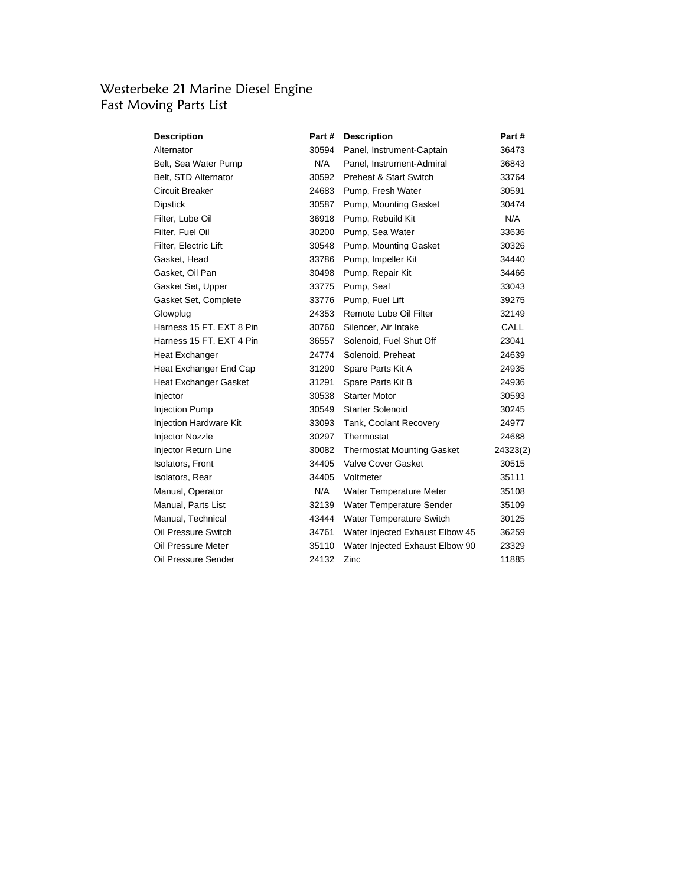#### Westerbeke 21 Marine Diesel Engine Fast Moving Parts List

| <b>Description</b>       | Part # | <b>Description</b>                | Part #      |
|--------------------------|--------|-----------------------------------|-------------|
| Alternator               | 30594  | Panel, Instrument-Captain         | 36473       |
| Belt, Sea Water Pump     | N/A    | Panel, Instrument-Admiral         | 36843       |
| Belt, STD Alternator     | 30592  | Preheat & Start Switch            | 33764       |
| Circuit Breaker          | 24683  | Pump, Fresh Water                 | 30591       |
| Dipstick                 | 30587  | Pump, Mounting Gasket             | 30474       |
| Filter, Lube Oil         | 36918  | Pump, Rebuild Kit                 | N/A         |
| Filter, Fuel Oil         | 30200  | Pump, Sea Water                   | 33636       |
| Filter, Electric Lift    | 30548  | Pump, Mounting Gasket             | 30326       |
| Gasket, Head             | 33786  | Pump, Impeller Kit                | 34440       |
| Gasket, Oil Pan          | 30498  | Pump, Repair Kit                  | 34466       |
| Gasket Set, Upper        | 33775  | Pump, Seal                        | 33043       |
| Gasket Set, Complete     | 33776  | Pump, Fuel Lift                   | 39275       |
| Glowplug                 | 24353  | Remote Lube Oil Filter            | 32149       |
| Harness 15 FT. EXT 8 Pin | 30760  | Silencer, Air Intake              | <b>CALL</b> |
| Harness 15 FT, EXT 4 Pin | 36557  | Solenoid, Fuel Shut Off           | 23041       |
| Heat Exchanger           | 24774  | Solenoid, Preheat                 | 24639       |
| Heat Exchanger End Cap   | 31290  | Spare Parts Kit A                 | 24935       |
| Heat Exchanger Gasket    | 31291  | Spare Parts Kit B                 | 24936       |
| Injector                 | 30538  | <b>Starter Motor</b>              | 30593       |
| <b>Injection Pump</b>    | 30549  | <b>Starter Solenoid</b>           | 30245       |
| Injection Hardware Kit   | 33093  | Tank, Coolant Recovery            | 24977       |
| Injector Nozzle          | 30297  | Thermostat                        | 24688       |
| Injector Return Line     | 30082  | <b>Thermostat Mounting Gasket</b> | 24323(2)    |
| Isolators, Front         | 34405  | Valve Cover Gasket                | 30515       |
| Isolators, Rear          | 34405  | Voltmeter                         | 35111       |
| Manual, Operator         | N/A    | Water Temperature Meter           | 35108       |
| Manual, Parts List       | 32139  | Water Temperature Sender          | 35109       |
| Manual, Technical        | 43444  | Water Temperature Switch          | 30125       |
| Oil Pressure Switch      | 34761  | Water Injected Exhaust Elbow 45   | 36259       |
| Oil Pressure Meter       | 35110  | Water Injected Exhaust Elbow 90   | 23329       |
| Oil Pressure Sender      | 24132  | Zinc                              | 11885       |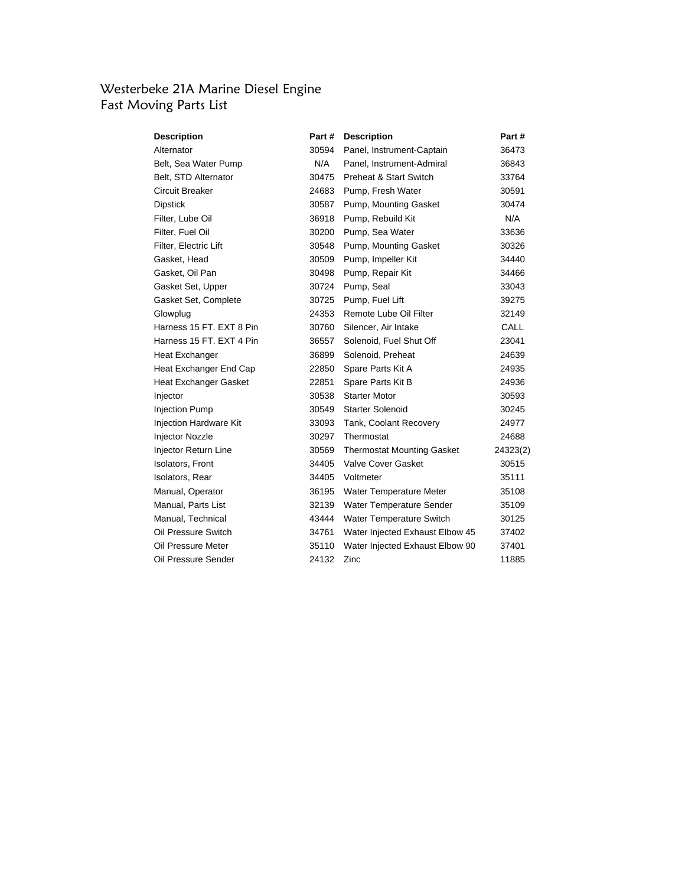#### Westerbeke 21A Marine Diesel Engine Fast Moving Parts List

| <b>Description</b>          | Part # | <b>Description</b>                | Part #      |
|-----------------------------|--------|-----------------------------------|-------------|
| Alternator                  | 30594  | Panel, Instrument-Captain         | 36473       |
| Belt, Sea Water Pump        | N/A    | Panel, Instrument-Admiral         | 36843       |
| Belt, STD Alternator        | 30475  | <b>Preheat &amp; Start Switch</b> | 33764       |
| Circuit Breaker             | 24683  | Pump, Fresh Water                 | 30591       |
| Dipstick                    | 30587  | Pump, Mounting Gasket             | 30474       |
| Filter, Lube Oil            | 36918  | Pump, Rebuild Kit                 | N/A         |
| Filter, Fuel Oil            | 30200  | Pump, Sea Water                   | 33636       |
| Filter, Electric Lift       | 30548  | Pump, Mounting Gasket             | 30326       |
| Gasket, Head                | 30509  | Pump, Impeller Kit                | 34440       |
| Gasket, Oil Pan             | 30498  | Pump, Repair Kit                  | 34466       |
| Gasket Set, Upper           | 30724  | Pump, Seal                        | 33043       |
| Gasket Set, Complete        | 30725  | Pump, Fuel Lift                   | 39275       |
| Glowplug                    | 24353  | Remote Lube Oil Filter            | 32149       |
| Harness 15 FT. EXT 8 Pin    | 30760  | Silencer, Air Intake              | <b>CALL</b> |
| Harness 15 FT, EXT 4 Pin    | 36557  | Solenoid, Fuel Shut Off           | 23041       |
| Heat Exchanger              | 36899  | Solenoid, Preheat                 | 24639       |
| Heat Exchanger End Cap      | 22850  | Spare Parts Kit A                 | 24935       |
| Heat Exchanger Gasket       | 22851  | Spare Parts Kit B                 | 24936       |
| Injector                    | 30538  | <b>Starter Motor</b>              | 30593       |
| <b>Injection Pump</b>       | 30549  | <b>Starter Solenoid</b>           | 30245       |
| Injection Hardware Kit      | 33093  | Tank, Coolant Recovery            | 24977       |
| <b>Injector Nozzle</b>      | 30297  | Thermostat                        | 24688       |
| <b>Injector Return Line</b> | 30569  | <b>Thermostat Mounting Gasket</b> | 24323(2)    |
| <b>Isolators, Front</b>     | 34405  | <b>Valve Cover Gasket</b>         | 30515       |
| Isolators, Rear             | 34405  | Voltmeter                         | 35111       |
| Manual, Operator            | 36195  | Water Temperature Meter           | 35108       |
| Manual, Parts List          | 32139  | Water Temperature Sender          | 35109       |
| Manual, Technical           | 43444  | Water Temperature Switch          | 30125       |
| Oil Pressure Switch         | 34761  | Water Injected Exhaust Elbow 45   | 37402       |
| Oil Pressure Meter          | 35110  | Water Injected Exhaust Elbow 90   | 37401       |
| Oil Pressure Sender         | 24132  | Zinc                              | 11885       |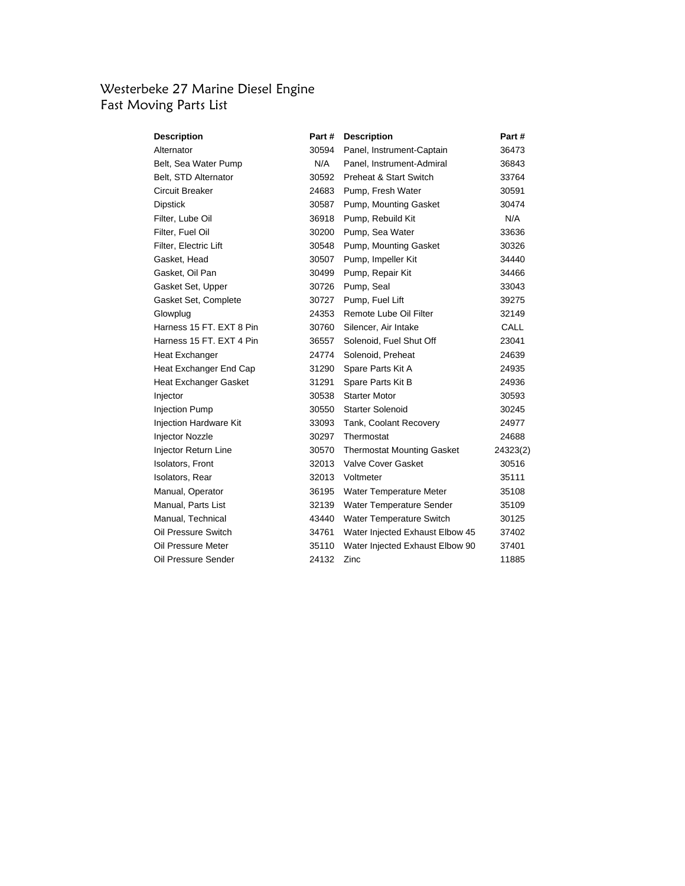## Westerbeke 27 Marine Diesel Engine Fast Moving Parts List

| <b>Description</b>          | Part # | <b>Description</b>                | Part #   |
|-----------------------------|--------|-----------------------------------|----------|
| Alternator                  | 30594  | Panel, Instrument-Captain         | 36473    |
| Belt, Sea Water Pump        | N/A    | Panel, Instrument-Admiral         | 36843    |
| Belt, STD Alternator        | 30592  | Preheat & Start Switch            | 33764    |
| Circuit Breaker             | 24683  | Pump, Fresh Water                 | 30591    |
| Dipstick                    | 30587  | Pump, Mounting Gasket             | 30474    |
| Filter, Lube Oil            | 36918  | Pump, Rebuild Kit                 | N/A      |
| Filter, Fuel Oil            | 30200  | Pump, Sea Water                   | 33636    |
| Filter, Electric Lift       | 30548  | Pump, Mounting Gasket             | 30326    |
| Gasket, Head                | 30507  | Pump, Impeller Kit                | 34440    |
| Gasket, Oil Pan             | 30499  | Pump, Repair Kit                  | 34466    |
| Gasket Set, Upper           | 30726  | Pump, Seal                        | 33043    |
| Gasket Set, Complete        | 30727  | Pump, Fuel Lift                   | 39275    |
| Glowplug                    | 24353  | Remote Lube Oil Filter            | 32149    |
| Harness 15 FT, EXT 8 Pin    | 30760  | Silencer, Air Intake              | CALL     |
| Harness 15 FT. EXT 4 Pin    | 36557  | Solenoid, Fuel Shut Off           | 23041    |
| Heat Exchanger              | 24774  | Solenoid, Preheat                 | 24639    |
| Heat Exchanger End Cap      | 31290  | Spare Parts Kit A                 | 24935    |
| Heat Exchanger Gasket       | 31291  | Spare Parts Kit B                 | 24936    |
| Injector                    | 30538  | <b>Starter Motor</b>              | 30593    |
| <b>Injection Pump</b>       | 30550  | <b>Starter Solenoid</b>           | 30245    |
| Injection Hardware Kit      | 33093  | Tank, Coolant Recovery            | 24977    |
| <b>Injector Nozzle</b>      | 30297  | Thermostat                        | 24688    |
| <b>Injector Return Line</b> | 30570  | <b>Thermostat Mounting Gasket</b> | 24323(2) |
| <b>Isolators, Front</b>     | 32013  | <b>Valve Cover Gasket</b>         | 30516    |
| Isolators, Rear             | 32013  | Voltmeter                         | 35111    |
| Manual, Operator            | 36195  | Water Temperature Meter           | 35108    |
| Manual, Parts List          | 32139  | Water Temperature Sender          | 35109    |
| Manual, Technical           | 43440  | Water Temperature Switch          | 30125    |
| Oil Pressure Switch         | 34761  | Water Injected Exhaust Elbow 45   | 37402    |
| Oil Pressure Meter          | 35110  | Water Injected Exhaust Elbow 90   | 37401    |
| Oil Pressure Sender         | 24132  | Zinc                              | 11885    |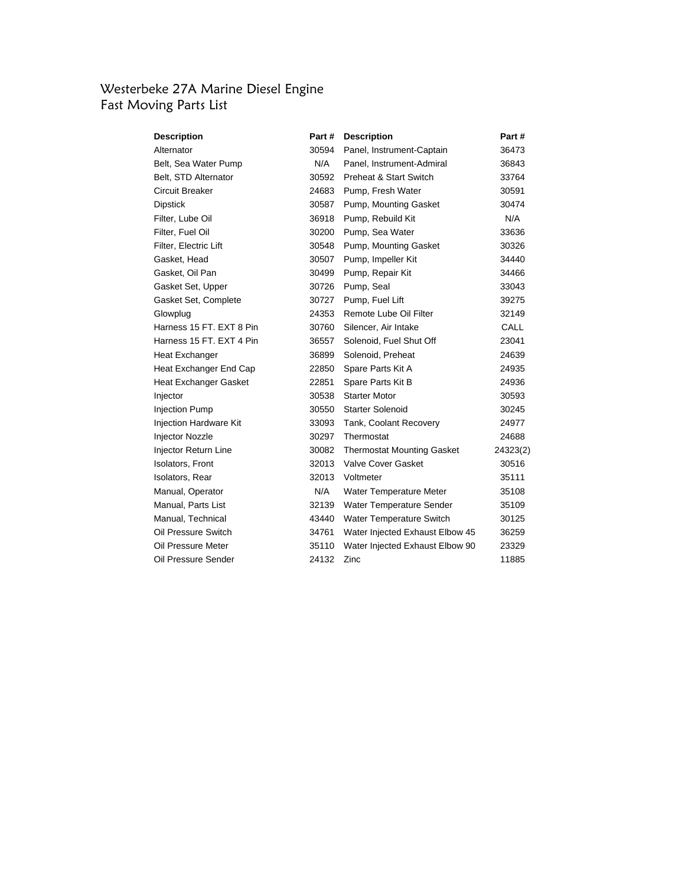## Westerbeke 27A Marine Diesel Engine Fast Moving Parts List

| <b>Description</b>          | Part # | <b>Description</b>                | Part #   |
|-----------------------------|--------|-----------------------------------|----------|
| Alternator                  | 30594  | Panel, Instrument-Captain         | 36473    |
| Belt, Sea Water Pump        | N/A    | Panel, Instrument-Admiral         | 36843    |
| Belt, STD Alternator        | 30592  | Preheat & Start Switch            | 33764    |
| Circuit Breaker             | 24683  | Pump, Fresh Water                 | 30591    |
| Dipstick                    | 30587  | Pump, Mounting Gasket             | 30474    |
| Filter, Lube Oil            | 36918  | Pump, Rebuild Kit                 | N/A      |
| Filter, Fuel Oil            | 30200  | Pump, Sea Water                   | 33636    |
| Filter, Electric Lift       | 30548  | Pump, Mounting Gasket             | 30326    |
| Gasket, Head                | 30507  | Pump, Impeller Kit                | 34440    |
| Gasket, Oil Pan             | 30499  | Pump, Repair Kit                  | 34466    |
| Gasket Set, Upper           | 30726  | Pump, Seal                        | 33043    |
| Gasket Set, Complete        | 30727  | Pump, Fuel Lift                   | 39275    |
| Glowplug                    | 24353  | Remote Lube Oil Filter            | 32149    |
| Harness 15 FT, EXT 8 Pin    | 30760  | Silencer, Air Intake              | CALL     |
| Harness 15 FT. EXT 4 Pin    | 36557  | Solenoid, Fuel Shut Off           | 23041    |
| Heat Exchanger              | 36899  | Solenoid, Preheat                 | 24639    |
| Heat Exchanger End Cap      | 22850  | Spare Parts Kit A                 | 24935    |
| Heat Exchanger Gasket       | 22851  | Spare Parts Kit B                 | 24936    |
| Injector                    | 30538  | <b>Starter Motor</b>              | 30593    |
| <b>Injection Pump</b>       | 30550  | <b>Starter Solenoid</b>           | 30245    |
| Injection Hardware Kit      | 33093  | Tank, Coolant Recovery            | 24977    |
| <b>Injector Nozzle</b>      | 30297  | Thermostat                        | 24688    |
| <b>Injector Return Line</b> | 30082  | <b>Thermostat Mounting Gasket</b> | 24323(2) |
| <b>Isolators, Front</b>     | 32013  | <b>Valve Cover Gasket</b>         | 30516    |
| Isolators, Rear             | 32013  | Voltmeter                         | 35111    |
| Manual, Operator            | N/A    | Water Temperature Meter           | 35108    |
| Manual, Parts List          | 32139  | Water Temperature Sender          | 35109    |
| Manual, Technical           | 43440  | Water Temperature Switch          | 30125    |
| Oil Pressure Switch         | 34761  | Water Injected Exhaust Elbow 45   | 36259    |
| Oil Pressure Meter          | 35110  | Water Injected Exhaust Elbow 90   | 23329    |
| Oil Pressure Sender         | 24132  | Zinc                              | 11885    |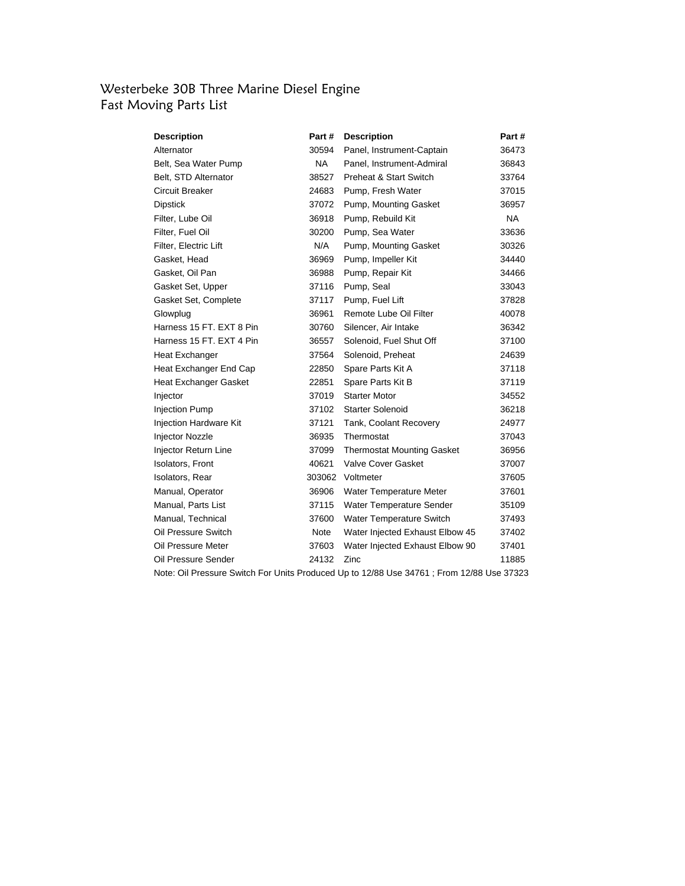### Westerbeke 30B Three Marine Diesel Engine Fast Moving Parts List

| <b>Description</b>           | Part # | <b>Description</b>                | Part #    |
|------------------------------|--------|-----------------------------------|-----------|
| Alternator                   | 30594  | Panel, Instrument-Captain         | 36473     |
| Belt, Sea Water Pump         | NA .   | Panel, Instrument-Admiral         | 36843     |
| Belt, STD Alternator         | 38527  | <b>Preheat &amp; Start Switch</b> | 33764     |
| <b>Circuit Breaker</b>       | 24683  | Pump, Fresh Water                 | 37015     |
| <b>Dipstick</b>              | 37072  | Pump, Mounting Gasket             | 36957     |
| Filter, Lube Oil             | 36918  | Pump, Rebuild Kit                 | <b>NA</b> |
| Filter, Fuel Oil             | 30200  | Pump, Sea Water                   | 33636     |
| Filter, Electric Lift        | N/A    | Pump, Mounting Gasket             | 30326     |
| Gasket, Head                 | 36969  | Pump, Impeller Kit                | 34440     |
| Gasket, Oil Pan              | 36988  | Pump, Repair Kit                  | 34466     |
| Gasket Set, Upper            | 37116  | Pump, Seal                        | 33043     |
| Gasket Set, Complete         | 37117  | Pump, Fuel Lift                   | 37828     |
| Glowplug                     | 36961  | Remote Lube Oil Filter            | 40078     |
| Harness 15 FT, EXT 8 Pin     | 30760  | Silencer, Air Intake              | 36342     |
| Harness 15 FT, EXT 4 Pin     | 36557  | Solenoid, Fuel Shut Off           | 37100     |
| Heat Exchanger               | 37564  | Solenoid, Preheat                 | 24639     |
| Heat Exchanger End Cap       | 22850  | Spare Parts Kit A                 | 37118     |
| <b>Heat Exchanger Gasket</b> | 22851  | Spare Parts Kit B                 | 37119     |
| Injector                     | 37019  | <b>Starter Motor</b>              | 34552     |
| <b>Injection Pump</b>        | 37102  | <b>Starter Solenoid</b>           | 36218     |
| Injection Hardware Kit       | 37121  | Tank, Coolant Recovery            | 24977     |
| <b>Injector Nozzle</b>       | 36935  | Thermostat                        | 37043     |
| Injector Return Line         | 37099  | <b>Thermostat Mounting Gasket</b> | 36956     |
| <b>Isolators, Front</b>      | 40621  | Valve Cover Gasket                | 37007     |
| Isolators, Rear              | 303062 | Voltmeter                         | 37605     |
| Manual, Operator             | 36906  | Water Temperature Meter           | 37601     |
| Manual, Parts List           | 37115  | Water Temperature Sender          | 35109     |
| Manual, Technical            | 37600  | Water Temperature Switch          | 37493     |
| Oil Pressure Switch          | Note   | Water Injected Exhaust Elbow 45   | 37402     |
| Oil Pressure Meter           | 37603  | Water Injected Exhaust Elbow 90   | 37401     |
| Oil Pressure Sender          | 24132  | Zinc                              | 11885     |

Note: Oil Pressure Switch For Units Produced Up to 12/88 Use 34761 ; From 12/88 Use 37323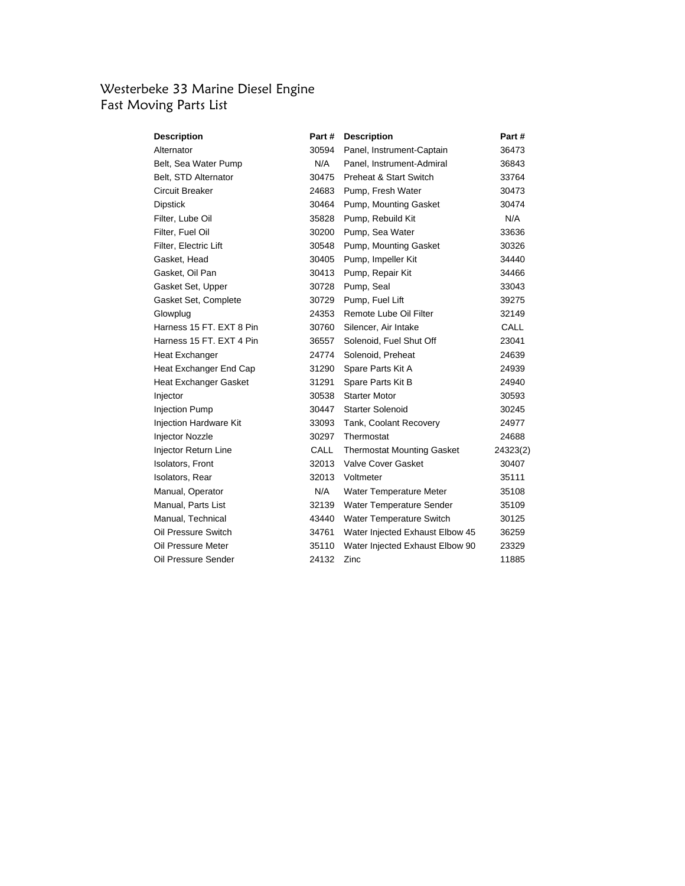## Westerbeke 33 Marine Diesel Engine Fast Moving Parts List

| <b>Description</b>            | Part # | <b>Description</b>                | Part #   |
|-------------------------------|--------|-----------------------------------|----------|
| Alternator                    | 30594  | Panel, Instrument-Captain         | 36473    |
| Belt, Sea Water Pump          | N/A    | Panel, Instrument-Admiral         | 36843    |
| Belt, STD Alternator          | 30475  | Preheat & Start Switch            | 33764    |
| Circuit Breaker               | 24683  | Pump, Fresh Water                 | 30473    |
| Dipstick                      | 30464  | Pump, Mounting Gasket             | 30474    |
| Filter, Lube Oil              | 35828  | Pump, Rebuild Kit                 | N/A      |
| Filter, Fuel Oil              | 30200  | Pump, Sea Water                   | 33636    |
| Filter, Electric Lift         | 30548  | Pump, Mounting Gasket             | 30326    |
| Gasket, Head                  | 30405  | Pump, Impeller Kit                | 34440    |
| Gasket, Oil Pan               | 30413  | Pump, Repair Kit                  | 34466    |
| Gasket Set, Upper             | 30728  | Pump, Seal                        | 33043    |
| Gasket Set, Complete          | 30729  | Pump, Fuel Lift                   | 39275    |
| Glowplug                      | 24353  | Remote Lube Oil Filter            | 32149    |
| Harness 15 FT. EXT 8 Pin      | 30760  | Silencer, Air Intake              | CALL     |
| Harness 15 FT. EXT 4 Pin      | 36557  | Solenoid, Fuel Shut Off           | 23041    |
| Heat Exchanger                | 24774  | Solenoid, Preheat                 | 24639    |
| Heat Exchanger End Cap        | 31290  | Spare Parts Kit A                 | 24939    |
| Heat Exchanger Gasket         | 31291  | Spare Parts Kit B                 | 24940    |
| Injector                      | 30538  | <b>Starter Motor</b>              | 30593    |
| <b>Injection Pump</b>         | 30447  | <b>Starter Solenoid</b>           | 30245    |
| <b>Injection Hardware Kit</b> | 33093  | Tank, Coolant Recovery            | 24977    |
| Injector Nozzle               | 30297  | Thermostat                        | 24688    |
| Injector Return Line          | CALL   | <b>Thermostat Mounting Gasket</b> | 24323(2) |
| Isolators, Front              | 32013  | Valve Cover Gasket                | 30407    |
| Isolators, Rear               | 32013  | Voltmeter                         | 35111    |
| Manual, Operator              | N/A    | Water Temperature Meter           | 35108    |
| Manual, Parts List            | 32139  | Water Temperature Sender          | 35109    |
| Manual, Technical             | 43440  | Water Temperature Switch          | 30125    |
| Oil Pressure Switch           | 34761  | Water Injected Exhaust Elbow 45   | 36259    |
| Oil Pressure Meter            | 35110  | Water Injected Exhaust Elbow 90   | 23329    |
| Oil Pressure Sender           | 24132  | Zinc                              | 11885    |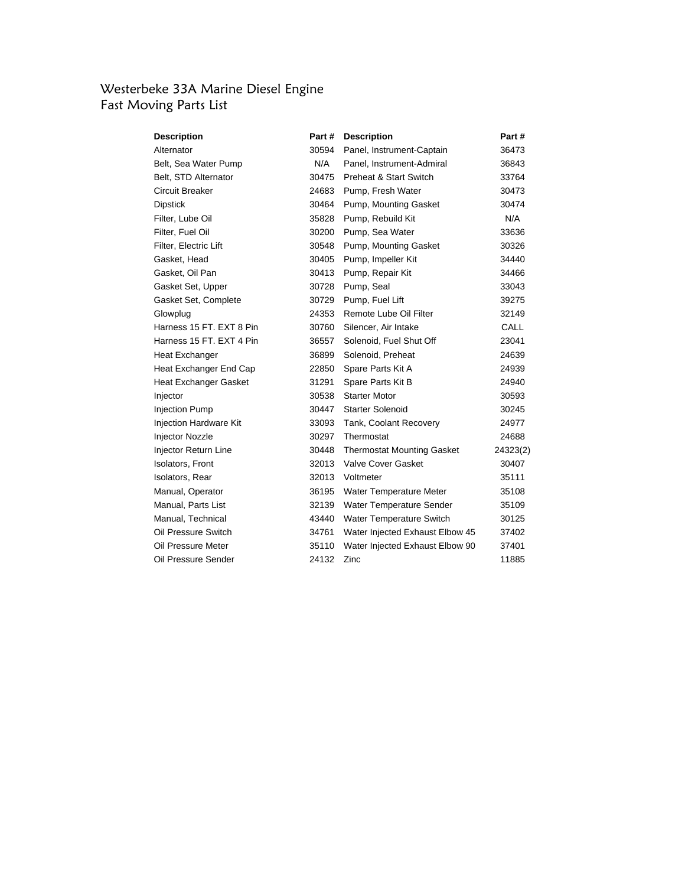## Westerbeke 33A Marine Diesel Engine Fast Moving Parts List

| <b>Description</b>       | Part # | <b>Description</b>                | Part #   |
|--------------------------|--------|-----------------------------------|----------|
| Alternator               | 30594  | Panel, Instrument-Captain         | 36473    |
| Belt, Sea Water Pump     | N/A    | Panel, Instrument-Admiral         | 36843    |
| Belt, STD Alternator     | 30475  | Preheat & Start Switch            | 33764    |
| Circuit Breaker          | 24683  | Pump, Fresh Water                 | 30473    |
| Dipstick                 | 30464  | Pump, Mounting Gasket             | 30474    |
| Filter, Lube Oil         | 35828  | Pump, Rebuild Kit                 | N/A      |
| Filter, Fuel Oil         | 30200  | Pump, Sea Water                   | 33636    |
| Filter, Electric Lift    | 30548  | Pump, Mounting Gasket             | 30326    |
| Gasket, Head             | 30405  | Pump, Impeller Kit                | 34440    |
| Gasket, Oil Pan          | 30413  | Pump, Repair Kit                  | 34466    |
| Gasket Set, Upper        | 30728  | Pump, Seal                        | 33043    |
| Gasket Set, Complete     | 30729  | Pump, Fuel Lift                   | 39275    |
| Glowplug                 | 24353  | Remote Lube Oil Filter            | 32149    |
| Harness 15 FT. EXT 8 Pin | 30760  | Silencer, Air Intake              | CALL     |
| Harness 15 FT. EXT 4 Pin | 36557  | Solenoid, Fuel Shut Off           | 23041    |
| Heat Exchanger           | 36899  | Solenoid, Preheat                 | 24639    |
| Heat Exchanger End Cap   | 22850  | Spare Parts Kit A                 | 24939    |
| Heat Exchanger Gasket    | 31291  | Spare Parts Kit B                 | 24940    |
| Injector                 | 30538  | <b>Starter Motor</b>              | 30593    |
| <b>Injection Pump</b>    | 30447  | Starter Solenoid                  | 30245    |
| Injection Hardware Kit   | 33093  | Tank, Coolant Recovery            | 24977    |
| Injector Nozzle          | 30297  | Thermostat                        | 24688    |
| Injector Return Line     | 30448  | <b>Thermostat Mounting Gasket</b> | 24323(2) |
| Isolators, Front         | 32013  | <b>Valve Cover Gasket</b>         | 30407    |
| Isolators, Rear          | 32013  | Voltmeter                         | 35111    |
| Manual, Operator         | 36195  | Water Temperature Meter           | 35108    |
| Manual, Parts List       | 32139  | Water Temperature Sender          | 35109    |
| Manual, Technical        | 43440  | Water Temperature Switch          | 30125    |
| Oil Pressure Switch      | 34761  | Water Injected Exhaust Elbow 45   | 37402    |
| Oil Pressure Meter       | 35110  | Water Injected Exhaust Elbow 90   | 37401    |
| Oil Pressure Sender      | 24132  | Zinc                              | 11885    |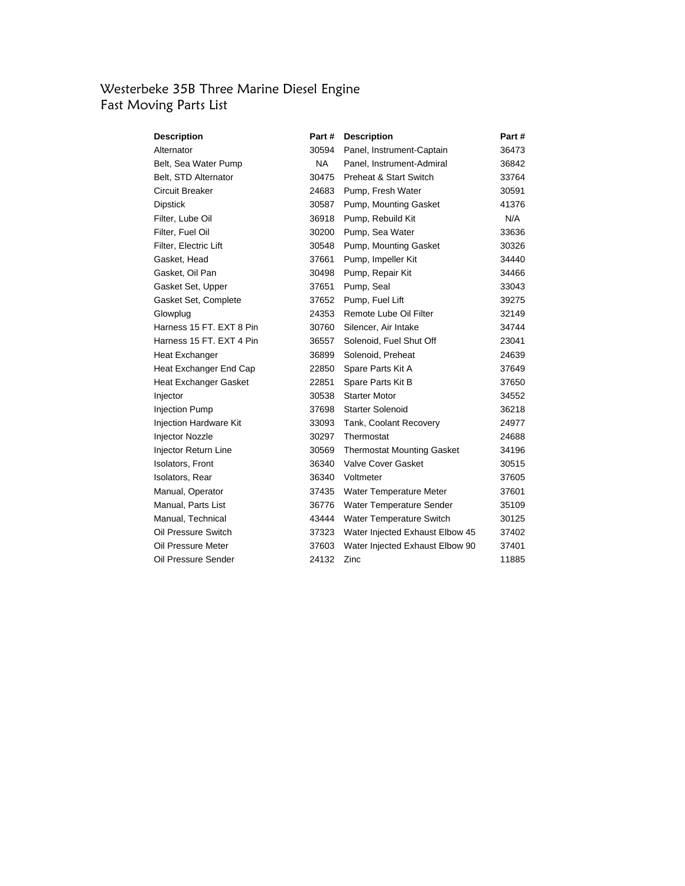### Westerbeke 35B Three Marine Diesel Engine Fast Moving Parts List

| <b>Description</b>       | Part#     | <b>Description</b>                | Part # |
|--------------------------|-----------|-----------------------------------|--------|
| Alternator               | 30594     | Panel, Instrument-Captain         | 36473  |
| Belt, Sea Water Pump     | <b>NA</b> | Panel, Instrument-Admiral         | 36842  |
| Belt, STD Alternator     | 30475     | <b>Preheat &amp; Start Switch</b> | 33764  |
| Circuit Breaker          | 24683     | Pump, Fresh Water                 | 30591  |
| Dipstick                 | 30587     | Pump, Mounting Gasket             | 41376  |
| Filter, Lube Oil         | 36918     | Pump, Rebuild Kit                 | N/A    |
| Filter, Fuel Oil         | 30200     | Pump, Sea Water                   | 33636  |
| Filter, Electric Lift    | 30548     | Pump, Mounting Gasket             | 30326  |
| Gasket, Head             | 37661     | Pump, Impeller Kit                | 34440  |
| Gasket, Oil Pan          | 30498     | Pump, Repair Kit                  | 34466  |
| Gasket Set, Upper        | 37651     | Pump, Seal                        | 33043  |
| Gasket Set, Complete     | 37652     | Pump, Fuel Lift                   | 39275  |
| Glowplug                 | 24353     | Remote Lube Oil Filter            | 32149  |
| Harness 15 FT, EXT 8 Pin | 30760     | Silencer, Air Intake              | 34744  |
| Harness 15 FT. EXT 4 Pin | 36557     | Solenoid, Fuel Shut Off           | 23041  |
| Heat Exchanger           | 36899     | Solenoid, Preheat                 | 24639  |
| Heat Exchanger End Cap   | 22850     | Spare Parts Kit A                 | 37649  |
| Heat Exchanger Gasket    | 22851     | Spare Parts Kit B                 | 37650  |
| Injector                 | 30538     | <b>Starter Motor</b>              | 34552  |
| <b>Injection Pump</b>    | 37698     | Starter Solenoid                  | 36218  |
| Injection Hardware Kit   | 33093     | Tank, Coolant Recovery            | 24977  |
| Injector Nozzle          | 30297     | Thermostat                        | 24688  |
| Injector Return Line     | 30569     | <b>Thermostat Mounting Gasket</b> | 34196  |
| Isolators, Front         | 36340     | <b>Valve Cover Gasket</b>         | 30515  |
| Isolators, Rear          | 36340     | Voltmeter                         | 37605  |
| Manual, Operator         | 37435     | Water Temperature Meter           | 37601  |
| Manual, Parts List       | 36776     | Water Temperature Sender          | 35109  |
| Manual, Technical        | 43444     | Water Temperature Switch          | 30125  |
| Oil Pressure Switch      | 37323     | Water Injected Exhaust Elbow 45   | 37402  |
| Oil Pressure Meter       | 37603     | Water Injected Exhaust Elbow 90   | 37401  |
| Oil Pressure Sender      | 24132     | Zinc                              | 11885  |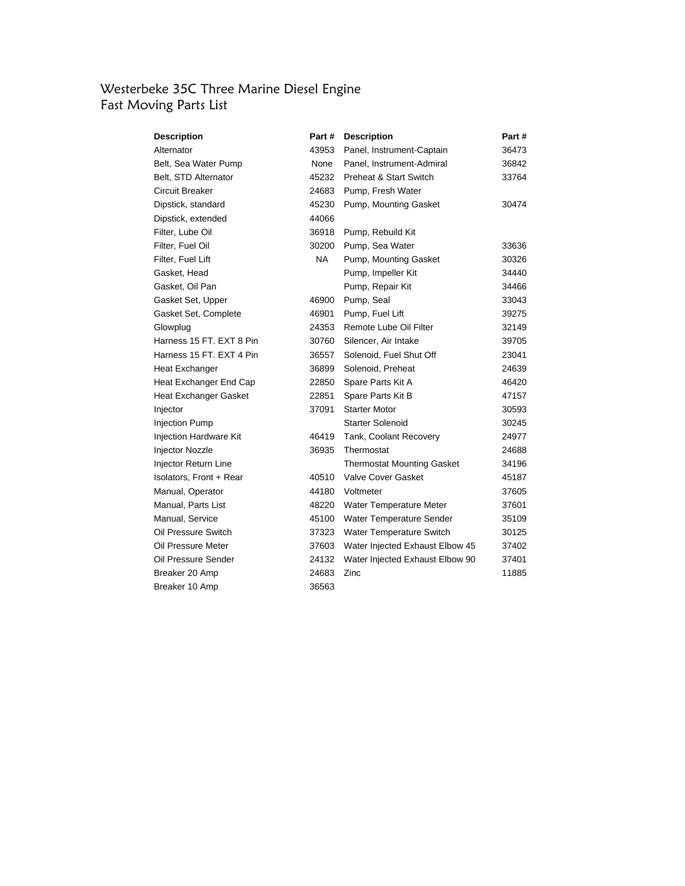### Westerbeke 35C Three Marine Diesel Engine Fast Moving Parts List

| <b>Description</b>       | Part #    | <b>Description</b>                | Part # |
|--------------------------|-----------|-----------------------------------|--------|
| Alternator               | 43953     | Panel, Instrument-Captain         | 36473  |
| Belt, Sea Water Pump     | None      | Panel, Instrument-Admiral         | 36842  |
| Belt, STD Alternator     | 45232     | <b>Preheat &amp; Start Switch</b> | 33764  |
| Circuit Breaker          | 24683     | Pump, Fresh Water                 |        |
| Dipstick, standard       | 45230     | Pump, Mounting Gasket             | 30474  |
| Dipstick, extended       | 44066     |                                   |        |
| Filter, Lube Oil         | 36918     | Pump, Rebuild Kit                 |        |
| Filter, Fuel Oil         | 30200     | Pump, Sea Water                   | 33636  |
| Filter, Fuel Lift        | <b>NA</b> | Pump, Mounting Gasket             | 30326  |
| Gasket, Head             |           | Pump, Impeller Kit                | 34440  |
| Gasket, Oil Pan          |           | Pump, Repair Kit                  | 34466  |
| Gasket Set, Upper        | 46900     | Pump, Seal                        | 33043  |
| Gasket Set, Complete     | 46901     | Pump, Fuel Lift                   | 39275  |
| Glowplug                 | 24353     | Remote Lube Oil Filter            | 32149  |
| Harness 15 FT, EXT 8 Pin | 30760     | Silencer, Air Intake              | 39705  |
| Harness 15 FT, EXT 4 Pin | 36557     | Solenoid, Fuel Shut Off           | 23041  |
| <b>Heat Exchanger</b>    | 36899     | Solenoid, Preheat                 | 24639  |
| Heat Exchanger End Cap   | 22850     | Spare Parts Kit A                 | 46420  |
| Heat Exchanger Gasket    | 22851     | Spare Parts Kit B                 | 47157  |
| Injector                 | 37091     | <b>Starter Motor</b>              | 30593  |
| <b>Injection Pump</b>    |           | <b>Starter Solenoid</b>           | 30245  |
| Injection Hardware Kit   | 46419     | Tank, Coolant Recovery            | 24977  |
| Injector Nozzle          | 36935     | Thermostat                        | 24688  |
| Injector Return Line     |           | <b>Thermostat Mounting Gasket</b> | 34196  |
| Isolators, Front + Rear  | 40510     | <b>Valve Cover Gasket</b>         | 45187  |
| Manual, Operator         | 44180     | Voltmeter                         | 37605  |
| Manual, Parts List       | 48220     | Water Temperature Meter           | 37601  |
| Manual, Service          | 45100     | Water Temperature Sender          | 35109  |
| Oil Pressure Switch      | 37323     | Water Temperature Switch          | 30125  |
| Oil Pressure Meter       | 37603     | Water Injected Exhaust Elbow 45   | 37402  |
| Oil Pressure Sender      | 24132     | Water Injected Exhaust Elbow 90   | 37401  |
| Breaker 20 Amp           | 24683     | Zinc                              | 11885  |
| Breaker 10 Amp           | 36563     |                                   |        |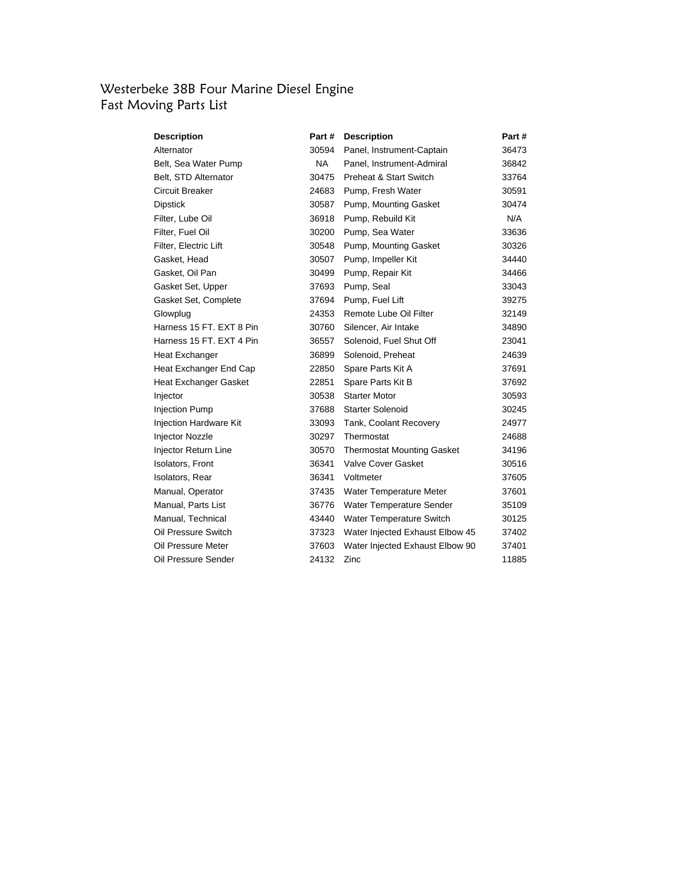## Westerbeke 38B Four Marine Diesel Engine Fast Moving Parts List

| <b>Description</b>            | Part # | <b>Description</b>                | Part # |
|-------------------------------|--------|-----------------------------------|--------|
| Alternator                    | 30594  | Panel, Instrument-Captain         | 36473  |
| Belt, Sea Water Pump          | NA .   | Panel, Instrument-Admiral         | 36842  |
| Belt, STD Alternator          | 30475  | Preheat & Start Switch            | 33764  |
| Circuit Breaker               | 24683  | Pump, Fresh Water                 | 30591  |
| Dipstick                      | 30587  | Pump, Mounting Gasket             | 30474  |
| Filter, Lube Oil              | 36918  | Pump, Rebuild Kit                 | N/A    |
| Filter, Fuel Oil              | 30200  | Pump, Sea Water                   | 33636  |
| Filter, Electric Lift         | 30548  | Pump, Mounting Gasket             | 30326  |
| Gasket, Head                  | 30507  | Pump, Impeller Kit                | 34440  |
| Gasket, Oil Pan               | 30499  | Pump, Repair Kit                  | 34466  |
| Gasket Set, Upper             | 37693  | Pump, Seal                        | 33043  |
| Gasket Set, Complete          | 37694  | Pump, Fuel Lift                   | 39275  |
| Glowplug                      | 24353  | Remote Lube Oil Filter            | 32149  |
| Harness 15 FT. EXT 8 Pin      | 30760  | Silencer, Air Intake              | 34890  |
| Harness 15 FT. EXT 4 Pin      | 36557  | Solenoid, Fuel Shut Off           | 23041  |
| Heat Exchanger                | 36899  | Solenoid, Preheat                 | 24639  |
| Heat Exchanger End Cap        | 22850  | Spare Parts Kit A                 | 37691  |
| Heat Exchanger Gasket         | 22851  | Spare Parts Kit B                 | 37692  |
| Injector                      | 30538  | <b>Starter Motor</b>              | 30593  |
| <b>Injection Pump</b>         | 37688  | <b>Starter Solenoid</b>           | 30245  |
| <b>Injection Hardware Kit</b> | 33093  | Tank, Coolant Recovery            | 24977  |
| Injector Nozzle               | 30297  | Thermostat                        | 24688  |
| Injector Return Line          | 30570  | <b>Thermostat Mounting Gasket</b> | 34196  |
| <b>Isolators, Front</b>       | 36341  | <b>Valve Cover Gasket</b>         | 30516  |
| Isolators, Rear               | 36341  | Voltmeter                         | 37605  |
| Manual, Operator              | 37435  | Water Temperature Meter           | 37601  |
| Manual, Parts List            | 36776  | Water Temperature Sender          | 35109  |
| Manual, Technical             | 43440  | Water Temperature Switch          | 30125  |
| Oil Pressure Switch           | 37323  | Water Injected Exhaust Elbow 45   | 37402  |
| Oil Pressure Meter            | 37603  | Water Injected Exhaust Elbow 90   | 37401  |
| Oil Pressure Sender           | 24132  | Zinc                              | 11885  |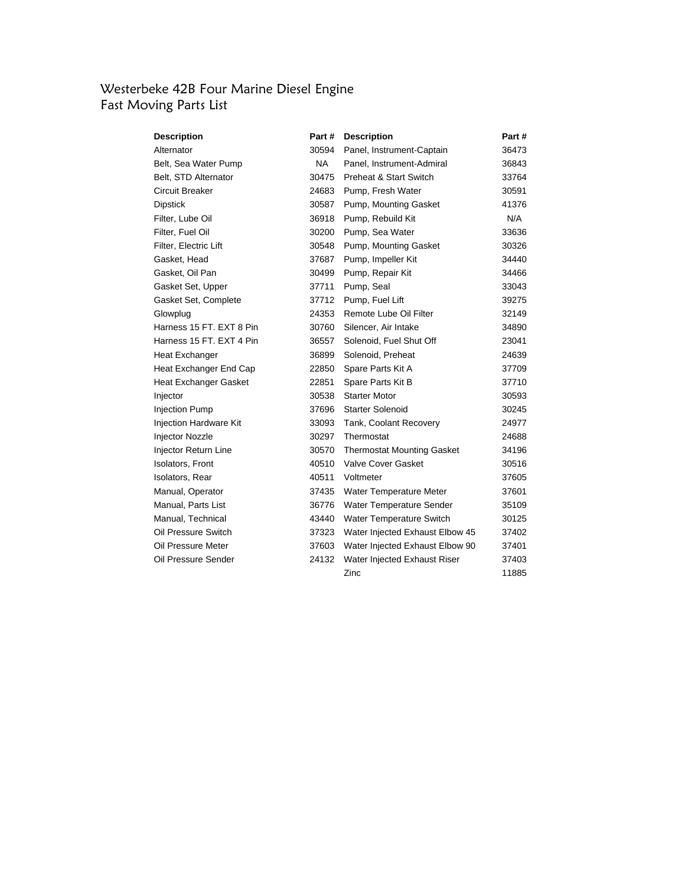## Westerbeke 42B Four Marine Diesel Engine Fast Moving Parts List

| Description                   | Part #    | <b>Description</b>                | Part # |
|-------------------------------|-----------|-----------------------------------|--------|
| Alternator                    | 30594     | Panel, Instrument-Captain         | 36473  |
| Belt, Sea Water Pump          | <b>NA</b> | Panel, Instrument-Admiral         | 36843  |
| Belt, STD Alternator          | 30475     | Preheat & Start Switch            | 33764  |
| Circuit Breaker               | 24683     | Pump, Fresh Water                 | 30591  |
| Dipstick                      | 30587     | Pump, Mounting Gasket             | 41376  |
| Filter, Lube Oil              | 36918     | Pump, Rebuild Kit                 | N/A    |
| Filter, Fuel Oil              | 30200     | Pump, Sea Water                   | 33636  |
| Filter, Electric Lift         | 30548     | Pump, Mounting Gasket             | 30326  |
| Gasket, Head                  | 37687     | Pump, Impeller Kit                | 34440  |
| Gasket, Oil Pan               | 30499     | Pump, Repair Kit                  | 34466  |
| Gasket Set, Upper             | 37711     | Pump, Seal                        | 33043  |
| Gasket Set, Complete          | 37712     | Pump, Fuel Lift                   | 39275  |
| Glowplug                      | 24353     | Remote Lube Oil Filter            | 32149  |
| Harness 15 FT, EXT 8 Pin      | 30760     | Silencer, Air Intake              | 34890  |
| Harness 15 FT. EXT 4 Pin      | 36557     | Solenoid, Fuel Shut Off           | 23041  |
| Heat Exchanger                | 36899     | Solenoid, Preheat                 | 24639  |
| Heat Exchanger End Cap        | 22850     | Spare Parts Kit A                 | 37709  |
| Heat Exchanger Gasket         | 22851     | Spare Parts Kit B                 | 37710  |
| Injector                      | 30538     | <b>Starter Motor</b>              | 30593  |
| <b>Injection Pump</b>         | 37696     | <b>Starter Solenoid</b>           | 30245  |
| <b>Injection Hardware Kit</b> | 33093     | Tank, Coolant Recovery            | 24977  |
| Injector Nozzle               | 30297     | Thermostat                        | 24688  |
| Injector Return Line          | 30570     | <b>Thermostat Mounting Gasket</b> | 34196  |
| <b>Isolators, Front</b>       | 40510     | Valve Cover Gasket                | 30516  |
| Isolators, Rear               | 40511     | Voltmeter                         | 37605  |
| Manual, Operator              | 37435     | Water Temperature Meter           | 37601  |
| Manual, Parts List            | 36776     | Water Temperature Sender          | 35109  |
| Manual, Technical             | 43440     | Water Temperature Switch          | 30125  |
| Oil Pressure Switch           | 37323     | Water Injected Exhaust Elbow 45   | 37402  |
| Oil Pressure Meter            | 37603     | Water Injected Exhaust Elbow 90   | 37401  |
| Oil Pressure Sender           | 24132     | Water Injected Exhaust Riser      | 37403  |
|                               |           | Zinc                              | 11885  |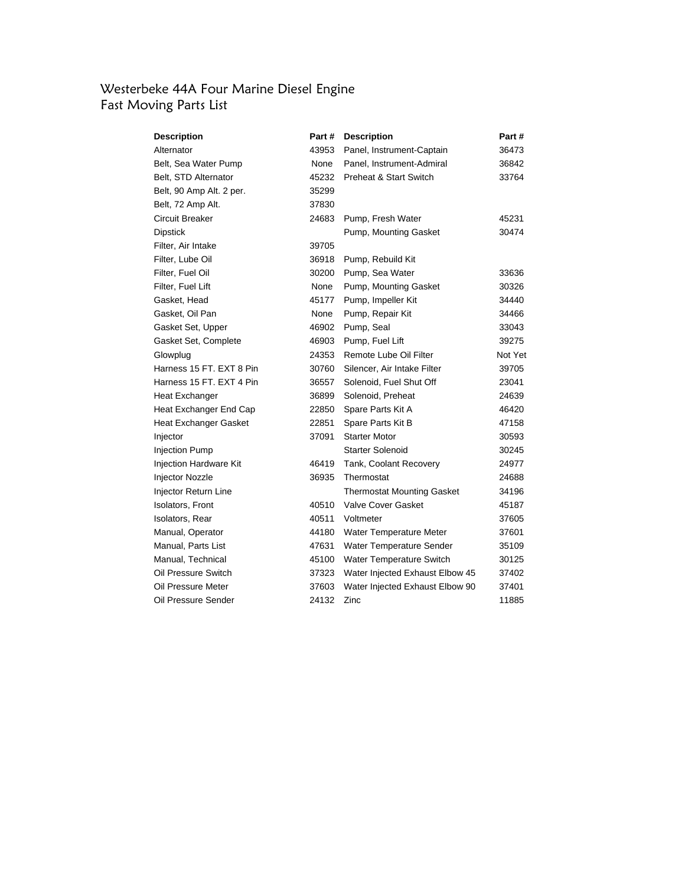#### Westerbeke 44A Four Marine Diesel Engine Fast Moving Parts List

| <b>Description</b>           | Part # | <b>Description</b>                | Part #  |
|------------------------------|--------|-----------------------------------|---------|
| Alternator                   | 43953  | Panel, Instrument-Captain         | 36473   |
| Belt, Sea Water Pump         | None   | Panel, Instrument-Admiral         | 36842   |
| Belt, STD Alternator         | 45232  | Preheat & Start Switch            | 33764   |
| Belt, 90 Amp Alt. 2 per.     | 35299  |                                   |         |
| Belt, 72 Amp Alt.            | 37830  |                                   |         |
| Circuit Breaker              | 24683  | Pump, Fresh Water                 | 45231   |
| <b>Dipstick</b>              |        | Pump, Mounting Gasket             | 30474   |
| Filter, Air Intake           | 39705  |                                   |         |
| Filter, Lube Oil             | 36918  | Pump, Rebuild Kit                 |         |
| Filter, Fuel Oil             | 30200  | Pump, Sea Water                   | 33636   |
| Filter, Fuel Lift            | None   | Pump, Mounting Gasket             | 30326   |
| Gasket, Head                 | 45177  | Pump, Impeller Kit                | 34440   |
| Gasket, Oil Pan              | None   | Pump, Repair Kit                  | 34466   |
| Gasket Set, Upper            | 46902  | Pump, Seal                        | 33043   |
| Gasket Set, Complete         | 46903  | Pump, Fuel Lift                   | 39275   |
| Glowplug                     | 24353  | Remote Lube Oil Filter            | Not Yet |
| Harness 15 FT, EXT 8 Pin     | 30760  | Silencer, Air Intake Filter       | 39705   |
| Harness 15 FT, EXT 4 Pin     | 36557  | Solenoid, Fuel Shut Off           | 23041   |
| Heat Exchanger               | 36899  | Solenoid, Preheat                 | 24639   |
| Heat Exchanger End Cap       | 22850  | Spare Parts Kit A                 | 46420   |
| <b>Heat Exchanger Gasket</b> | 22851  | Spare Parts Kit B                 | 47158   |
| Injector                     | 37091  | <b>Starter Motor</b>              | 30593   |
| <b>Injection Pump</b>        |        | <b>Starter Solenoid</b>           | 30245   |
| Injection Hardware Kit       | 46419  | Tank, Coolant Recovery            | 24977   |
| Injector Nozzle              | 36935  | Thermostat                        | 24688   |
| Injector Return Line         |        | <b>Thermostat Mounting Gasket</b> | 34196   |
| <b>Isolators, Front</b>      | 40510  | <b>Valve Cover Gasket</b>         | 45187   |
| Isolators, Rear              | 40511  | Voltmeter                         | 37605   |
| Manual, Operator             | 44180  | Water Temperature Meter           | 37601   |
| Manual, Parts List           | 47631  | Water Temperature Sender          | 35109   |
| Manual, Technical            | 45100  | Water Temperature Switch          | 30125   |
| Oil Pressure Switch          | 37323  | Water Injected Exhaust Elbow 45   | 37402   |
| Oil Pressure Meter           | 37603  | Water Injected Exhaust Elbow 90   | 37401   |
| Oil Pressure Sender          | 24132  | Zinc                              | 11885   |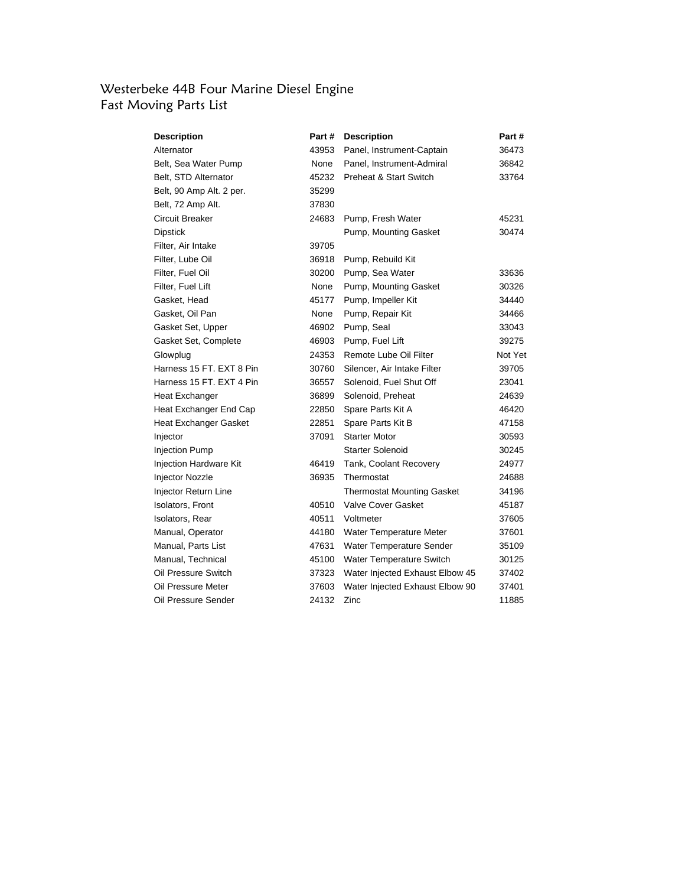#### Westerbeke 44B Four Marine Diesel Engine Fast Moving Parts List

| <b>Description</b>           | Part # | <b>Description</b>                | Part#   |
|------------------------------|--------|-----------------------------------|---------|
| Alternator                   | 43953  | Panel, Instrument-Captain         | 36473   |
| Belt, Sea Water Pump         | None   | Panel, Instrument-Admiral         | 36842   |
| Belt, STD Alternator         | 45232  | <b>Preheat &amp; Start Switch</b> | 33764   |
| Belt, 90 Amp Alt. 2 per.     | 35299  |                                   |         |
| Belt, 72 Amp Alt.            | 37830  |                                   |         |
| Circuit Breaker              | 24683  | Pump, Fresh Water                 | 45231   |
| <b>Dipstick</b>              |        | Pump, Mounting Gasket             | 30474   |
| Filter, Air Intake           | 39705  |                                   |         |
| Filter, Lube Oil             | 36918  | Pump, Rebuild Kit                 |         |
| Filter, Fuel Oil             | 30200  | Pump, Sea Water                   | 33636   |
| Filter, Fuel Lift            | None   | Pump, Mounting Gasket             | 30326   |
| Gasket, Head                 | 45177  | Pump, Impeller Kit                | 34440   |
| Gasket, Oil Pan              | None   | Pump, Repair Kit                  | 34466   |
| Gasket Set, Upper            | 46902  | Pump, Seal                        | 33043   |
| Gasket Set, Complete         | 46903  | Pump, Fuel Lift                   | 39275   |
| Glowplug                     | 24353  | Remote Lube Oil Filter            | Not Yet |
| Harness 15 FT, EXT 8 Pin     | 30760  | Silencer, Air Intake Filter       | 39705   |
| Harness 15 FT, EXT 4 Pin     | 36557  | Solenoid, Fuel Shut Off           | 23041   |
| Heat Exchanger               | 36899  | Solenoid, Preheat                 | 24639   |
| Heat Exchanger End Cap       | 22850  | Spare Parts Kit A                 | 46420   |
| <b>Heat Exchanger Gasket</b> | 22851  | Spare Parts Kit B                 | 47158   |
| Injector                     | 37091  | <b>Starter Motor</b>              | 30593   |
| <b>Injection Pump</b>        |        | <b>Starter Solenoid</b>           | 30245   |
| Injection Hardware Kit       | 46419  | Tank, Coolant Recovery            | 24977   |
| <b>Injector Nozzle</b>       | 36935  | Thermostat                        | 24688   |
| Injector Return Line         |        | Thermostat Mounting Gasket        | 34196   |
| Isolators, Front             | 40510  | <b>Valve Cover Gasket</b>         | 45187   |
| Isolators, Rear              | 40511  | Voltmeter                         | 37605   |
| Manual, Operator             | 44180  | Water Temperature Meter           | 37601   |
| Manual, Parts List           | 47631  | Water Temperature Sender          | 35109   |
| Manual, Technical            | 45100  | Water Temperature Switch          | 30125   |
| Oil Pressure Switch          | 37323  | Water Injected Exhaust Elbow 45   | 37402   |
| Oil Pressure Meter           | 37603  | Water Injected Exhaust Elbow 90   | 37401   |
| Oil Pressure Sender          | 24132  | Zinc                              | 11885   |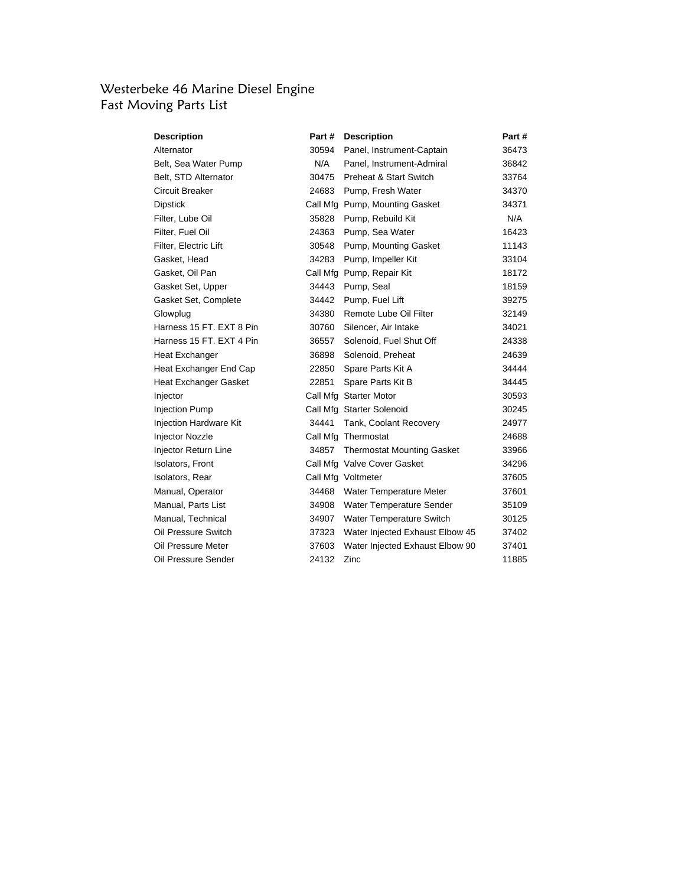## Westerbeke 46 Marine Diesel Engine Fast Moving Parts List

| <b>Description</b>       | Part # | <b>Description</b>                | Part # |
|--------------------------|--------|-----------------------------------|--------|
| Alternator               | 30594  | Panel, Instrument-Captain         | 36473  |
| Belt, Sea Water Pump     | N/A    | Panel, Instrument-Admiral         | 36842  |
| Belt, STD Alternator     | 30475  | <b>Preheat &amp; Start Switch</b> | 33764  |
| Circuit Breaker          | 24683  | Pump, Fresh Water                 | 34370  |
| Dipstick                 |        | Call Mfg Pump, Mounting Gasket    | 34371  |
| Filter, Lube Oil         | 35828  | Pump, Rebuild Kit                 | N/A    |
| Filter, Fuel Oil         | 24363  | Pump, Sea Water                   | 16423  |
| Filter, Electric Lift    |        | 30548 Pump, Mounting Gasket       | 11143  |
| Gasket, Head             | 34283  | Pump, Impeller Kit                | 33104  |
| Gasket, Oil Pan          |        | Call Mfg Pump, Repair Kit         | 18172  |
| Gasket Set, Upper        |        | 34443 Pump, Seal                  | 18159  |
| Gasket Set, Complete     | 34442  | Pump, Fuel Lift                   | 39275  |
| Glowplug                 | 34380  | Remote Lube Oil Filter            | 32149  |
| Harness 15 FT. EXT 8 Pin | 30760  | Silencer, Air Intake              | 34021  |
| Harness 15 FT. EXT 4 Pin | 36557  | Solenoid, Fuel Shut Off           | 24338  |
| Heat Exchanger           | 36898  | Solenoid, Preheat                 | 24639  |
| Heat Exchanger End Cap   | 22850  | Spare Parts Kit A                 | 34444  |
| Heat Exchanger Gasket    | 22851  | Spare Parts Kit B                 | 34445  |
| Injector                 |        | Call Mfg Starter Motor            | 30593  |
| <b>Injection Pump</b>    |        | Call Mfg Starter Solenoid         | 30245  |
| Injection Hardware Kit   | 34441  | Tank, Coolant Recovery            | 24977  |
| Injector Nozzle          |        | Call Mfg Thermostat               | 24688  |
| Injector Return Line     |        | 34857 Thermostat Mounting Gasket  | 33966  |
| Isolators, Front         |        | Call Mfg Valve Cover Gasket       | 34296  |
| Isolators, Rear          |        | Call Mfg Voltmeter                | 37605  |
| Manual, Operator         |        | 34468 Water Temperature Meter     | 37601  |
| Manual, Parts List       |        | 34908 Water Temperature Sender    | 35109  |
| Manual, Technical        | 34907  | Water Temperature Switch          | 30125  |
| Oil Pressure Switch      | 37323  | Water Injected Exhaust Elbow 45   | 37402  |
| Oil Pressure Meter       | 37603  | Water Injected Exhaust Elbow 90   | 37401  |
| Oil Pressure Sender      | 24132  | Zinc                              | 11885  |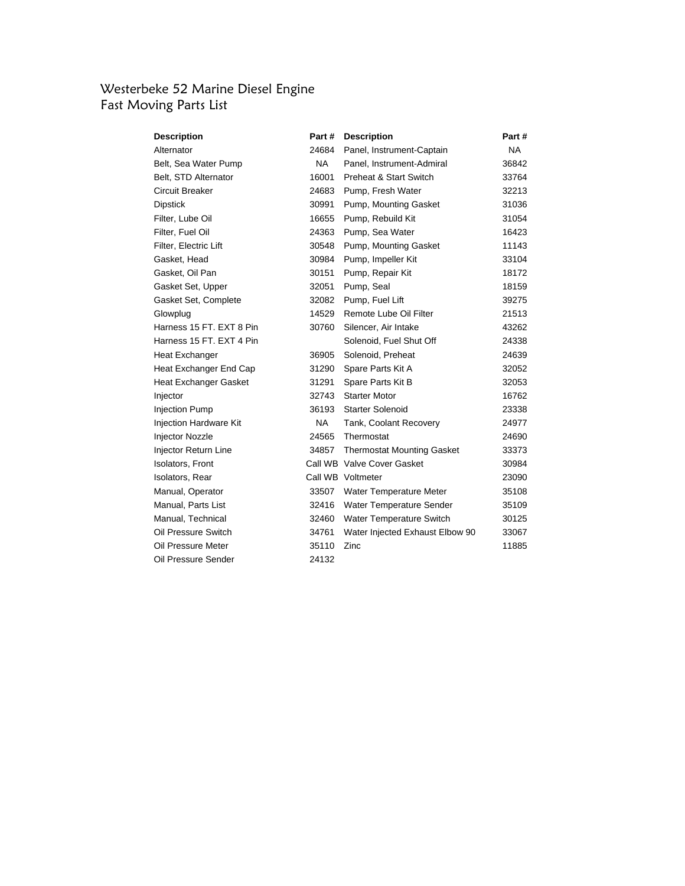# Westerbeke 52 Marine Diesel Engine Fast Moving Parts List

| Description                   | Part #    | <b>Description</b>                | Part # |
|-------------------------------|-----------|-----------------------------------|--------|
| Alternator                    | 24684     | Panel, Instrument-Captain         | NA.    |
| Belt, Sea Water Pump          | NA .      | Panel, Instrument-Admiral         | 36842  |
| Belt, STD Alternator          | 16001     | Preheat & Start Switch            | 33764  |
| Circuit Breaker               | 24683     | Pump, Fresh Water                 | 32213  |
| Dipstick                      | 30991     | Pump, Mounting Gasket             | 31036  |
| Filter, Lube Oil              | 16655     | Pump, Rebuild Kit                 | 31054  |
| Filter, Fuel Oil              | 24363     | Pump, Sea Water                   | 16423  |
| Filter, Electric Lift         | 30548     | Pump, Mounting Gasket             | 11143  |
| Gasket, Head                  | 30984     | Pump, Impeller Kit                | 33104  |
| Gasket, Oil Pan               | 30151     | Pump, Repair Kit                  | 18172  |
| Gasket Set, Upper             | 32051     | Pump, Seal                        | 18159  |
| Gasket Set, Complete          | 32082     | Pump, Fuel Lift                   | 39275  |
| Glowplug                      | 14529     | Remote Lube Oil Filter            | 21513  |
| Harness 15 FT, EXT 8 Pin      | 30760     | Silencer, Air Intake              | 43262  |
| Harness 15 FT, EXT 4 Pin      |           | Solenoid, Fuel Shut Off           | 24338  |
| Heat Exchanger                | 36905     | Solenoid, Preheat                 | 24639  |
| Heat Exchanger End Cap        | 31290     | Spare Parts Kit A                 | 32052  |
| Heat Exchanger Gasket         | 31291     | Spare Parts Kit B                 | 32053  |
| Injector                      | 32743     | <b>Starter Motor</b>              | 16762  |
| <b>Injection Pump</b>         | 36193     | <b>Starter Solenoid</b>           | 23338  |
| <b>Injection Hardware Kit</b> | <b>NA</b> | Tank, Coolant Recovery            | 24977  |
| Injector Nozzle               | 24565     | Thermostat                        | 24690  |
| Injector Return Line          | 34857     | <b>Thermostat Mounting Gasket</b> | 33373  |
| <b>Isolators, Front</b>       |           | Call WB Valve Cover Gasket        | 30984  |
| Isolators, Rear               |           | Call WB Voltmeter                 | 23090  |
| Manual, Operator              | 33507     | Water Temperature Meter           | 35108  |
| Manual, Parts List            | 32416     | Water Temperature Sender          | 35109  |
| Manual, Technical             | 32460     | Water Temperature Switch          | 30125  |
| Oil Pressure Switch           | 34761     | Water Injected Exhaust Elbow 90   | 33067  |
| Oil Pressure Meter            | 35110     | Zinc                              | 11885  |
| Oil Pressure Sender           | 24132     |                                   |        |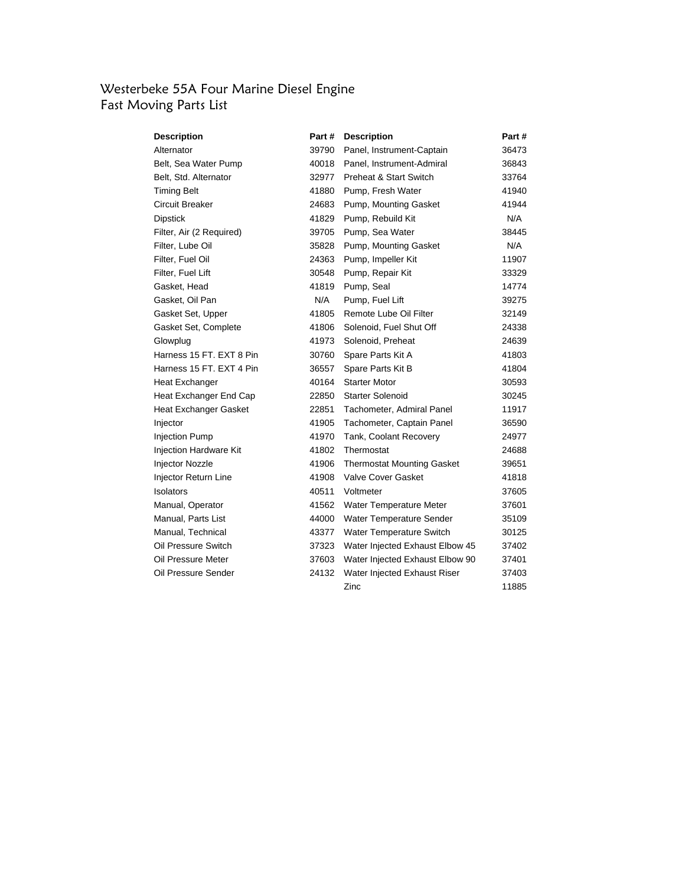## Westerbeke 55A Four Marine Diesel Engine Fast Moving Parts List

| Description              | Part# | <b>Description</b>                | Part # |
|--------------------------|-------|-----------------------------------|--------|
| Alternator               | 39790 | Panel, Instrument-Captain         | 36473  |
| Belt, Sea Water Pump     | 40018 | Panel, Instrument-Admiral         | 36843  |
| Belt, Std. Alternator    | 32977 | <b>Preheat &amp; Start Switch</b> | 33764  |
| <b>Timing Belt</b>       | 41880 | Pump, Fresh Water                 | 41940  |
| Circuit Breaker          | 24683 | Pump, Mounting Gasket             | 41944  |
| Dipstick                 | 41829 | Pump, Rebuild Kit                 | N/A    |
| Filter, Air (2 Required) | 39705 | Pump, Sea Water                   | 38445  |
| Filter, Lube Oil         |       | 35828 Pump, Mounting Gasket       | N/A    |
| Filter, Fuel Oil         | 24363 | Pump, Impeller Kit                | 11907  |
| Filter, Fuel Lift        | 30548 | Pump, Repair Kit                  | 33329  |
| Gasket, Head             | 41819 | Pump, Seal                        | 14774  |
| Gasket, Oil Pan          | N/A   | Pump, Fuel Lift                   | 39275  |
| Gasket Set, Upper        | 41805 | Remote Lube Oil Filter            | 32149  |
| Gasket Set, Complete     | 41806 | Solenoid, Fuel Shut Off           | 24338  |
| Glowplug                 | 41973 | Solenoid, Preheat                 | 24639  |
| Harness 15 FT, EXT 8 Pin | 30760 | Spare Parts Kit A                 | 41803  |
| Harness 15 FT. EXT 4 Pin | 36557 | Spare Parts Kit B                 | 41804  |
| Heat Exchanger           | 40164 | <b>Starter Motor</b>              | 30593  |
| Heat Exchanger End Cap   | 22850 | <b>Starter Solenoid</b>           | 30245  |
| Heat Exchanger Gasket    | 22851 | Tachometer, Admiral Panel         | 11917  |
| Injector                 | 41905 | Tachometer, Captain Panel         | 36590  |
| <b>Injection Pump</b>    | 41970 | Tank, Coolant Recovery            | 24977  |
| Injection Hardware Kit   | 41802 | Thermostat                        | 24688  |
| Injector Nozzle          | 41906 | <b>Thermostat Mounting Gasket</b> | 39651  |
| Injector Return Line     | 41908 | <b>Valve Cover Gasket</b>         | 41818  |
| Isolators                | 40511 | Voltmeter                         | 37605  |
| Manual, Operator         | 41562 | Water Temperature Meter           | 37601  |
| Manual, Parts List       | 44000 | Water Temperature Sender          | 35109  |
| Manual, Technical        | 43377 | Water Temperature Switch          | 30125  |
| Oil Pressure Switch      | 37323 | Water Injected Exhaust Elbow 45   | 37402  |
| Oil Pressure Meter       | 37603 | Water Injected Exhaust Elbow 90   | 37401  |
| Oil Pressure Sender      | 24132 | Water Injected Exhaust Riser      | 37403  |
|                          |       | Zinc                              | 11885  |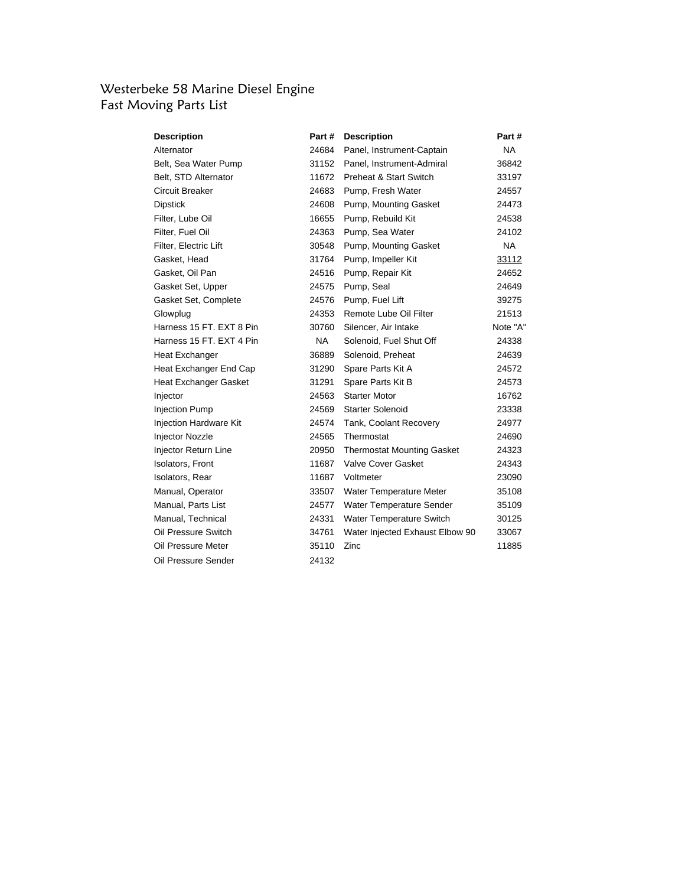### Westerbeke 58 Marine Diesel Engine Fast Moving Parts List

| Description                   | Part #    | <b>Description</b>                | Part #    |
|-------------------------------|-----------|-----------------------------------|-----------|
| Alternator                    | 24684     | Panel, Instrument-Captain         | NA        |
| Belt, Sea Water Pump          | 31152     | Panel, Instrument-Admiral         | 36842     |
| Belt, STD Alternator          | 11672     | <b>Preheat &amp; Start Switch</b> | 33197     |
| Circuit Breaker               | 24683     | Pump, Fresh Water                 | 24557     |
| Dipstick                      | 24608     | Pump, Mounting Gasket             | 24473     |
| Filter, Lube Oil              | 16655     | Pump, Rebuild Kit                 | 24538     |
| Filter, Fuel Oil              | 24363     | Pump, Sea Water                   | 24102     |
| Filter, Electric Lift         | 30548     | Pump, Mounting Gasket             | <b>NA</b> |
| Gasket, Head                  | 31764     | Pump, Impeller Kit                | 33112     |
| Gasket, Oil Pan               | 24516     | Pump, Repair Kit                  | 24652     |
| Gasket Set, Upper             | 24575     | Pump, Seal                        | 24649     |
| Gasket Set, Complete          | 24576     | Pump, Fuel Lift                   | 39275     |
| Glowplug                      | 24353     | Remote Lube Oil Filter            | 21513     |
| Harness 15 FT, EXT 8 Pin      | 30760     | Silencer, Air Intake              | Note "A"  |
| Harness 15 FT, EXT 4 Pin      | <b>NA</b> | Solenoid, Fuel Shut Off           | 24338     |
| Heat Exchanger                | 36889     | Solenoid, Preheat                 | 24639     |
| Heat Exchanger End Cap        | 31290     | Spare Parts Kit A                 | 24572     |
| Heat Exchanger Gasket         | 31291     | Spare Parts Kit B                 | 24573     |
| Injector                      | 24563     | <b>Starter Motor</b>              | 16762     |
| <b>Injection Pump</b>         | 24569     | <b>Starter Solenoid</b>           | 23338     |
| <b>Injection Hardware Kit</b> | 24574     | Tank, Coolant Recovery            | 24977     |
| Injector Nozzle               | 24565     | Thermostat                        | 24690     |
| Injector Return Line          | 20950     | <b>Thermostat Mounting Gasket</b> | 24323     |
| Isolators, Front              | 11687     | Valve Cover Gasket                | 24343     |
| Isolators, Rear               | 11687     | Voltmeter                         | 23090     |
| Manual, Operator              | 33507     | Water Temperature Meter           | 35108     |
| Manual, Parts List            | 24577     | Water Temperature Sender          | 35109     |
| Manual, Technical             | 24331     | Water Temperature Switch          | 30125     |
| Oil Pressure Switch           | 34761     | Water Injected Exhaust Elbow 90   | 33067     |
| Oil Pressure Meter            | 35110     | Zinc                              | 11885     |
| Oil Pressure Sender           | 24132     |                                   |           |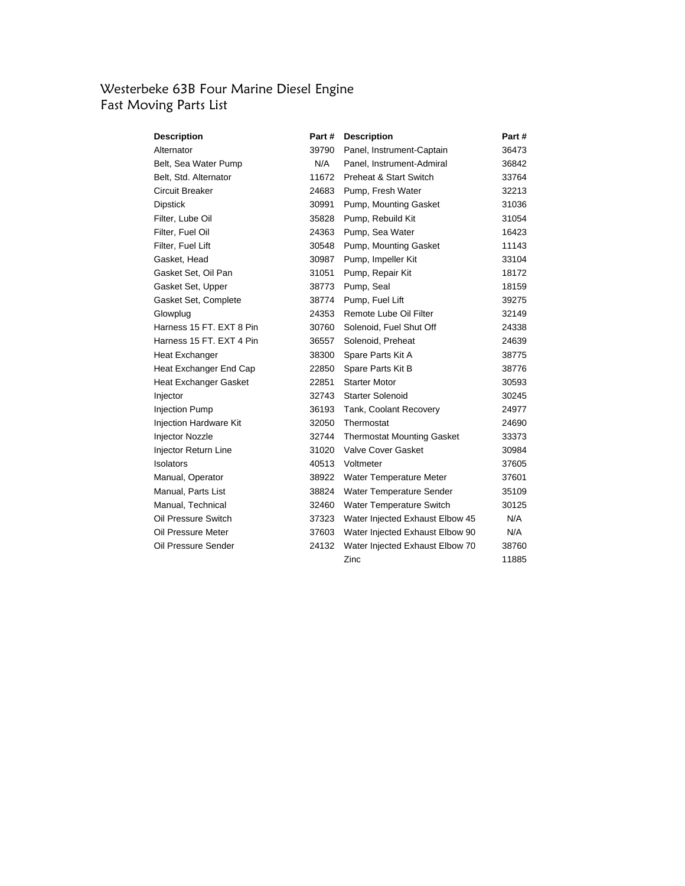### Westerbeke 63B Four Marine Diesel Engine Fast Moving Parts List

| Description                   | Part # | <b>Description</b>                | Part # |
|-------------------------------|--------|-----------------------------------|--------|
| Alternator                    | 39790  | Panel, Instrument-Captain         | 36473  |
| Belt, Sea Water Pump          | N/A    | Panel, Instrument-Admiral         | 36842  |
| Belt, Std. Alternator         | 11672  | Preheat & Start Switch            | 33764  |
| Circuit Breaker               | 24683  | Pump, Fresh Water                 | 32213  |
| Dipstick                      | 30991  | Pump, Mounting Gasket             | 31036  |
| Filter, Lube Oil              | 35828  | Pump, Rebuild Kit                 | 31054  |
| Filter, Fuel Oil              | 24363  | Pump, Sea Water                   | 16423  |
| Filter, Fuel Lift             | 30548  | Pump, Mounting Gasket             | 11143  |
| Gasket, Head                  | 30987  | Pump, Impeller Kit                | 33104  |
| Gasket Set, Oil Pan           | 31051  | Pump, Repair Kit                  | 18172  |
| Gasket Set, Upper             | 38773  | Pump, Seal                        | 18159  |
| Gasket Set, Complete          | 38774  | Pump, Fuel Lift                   | 39275  |
| Glowplug                      | 24353  | Remote Lube Oil Filter            | 32149  |
| Harness 15 FT, EXT 8 Pin      | 30760  | Solenoid, Fuel Shut Off           | 24338  |
| Harness 15 FT, EXT 4 Pin      | 36557  | Solenoid, Preheat                 | 24639  |
| Heat Exchanger                | 38300  | Spare Parts Kit A                 | 38775  |
| Heat Exchanger End Cap        | 22850  | Spare Parts Kit B                 | 38776  |
| Heat Exchanger Gasket         | 22851  | <b>Starter Motor</b>              | 30593  |
| Injector                      | 32743  | <b>Starter Solenoid</b>           | 30245  |
| <b>Injection Pump</b>         | 36193  | Tank, Coolant Recovery            | 24977  |
| <b>Injection Hardware Kit</b> | 32050  | Thermostat                        | 24690  |
| <b>Injector Nozzle</b>        | 32744  | <b>Thermostat Mounting Gasket</b> | 33373  |
| <b>Injector Return Line</b>   | 31020  | Valve Cover Gasket                | 30984  |
| Isolators                     | 40513  | Voltmeter                         | 37605  |
| Manual, Operator              |        | 38922 Water Temperature Meter     | 37601  |
| Manual, Parts List            | 38824  | Water Temperature Sender          | 35109  |
| Manual, Technical             | 32460  | Water Temperature Switch          | 30125  |
| Oil Pressure Switch           | 37323  | Water Injected Exhaust Elbow 45   | N/A    |
| Oil Pressure Meter            | 37603  | Water Injected Exhaust Elbow 90   | N/A    |
| Oil Pressure Sender           | 24132  | Water Injected Exhaust Elbow 70   | 38760  |
|                               |        | Zinc                              | 11885  |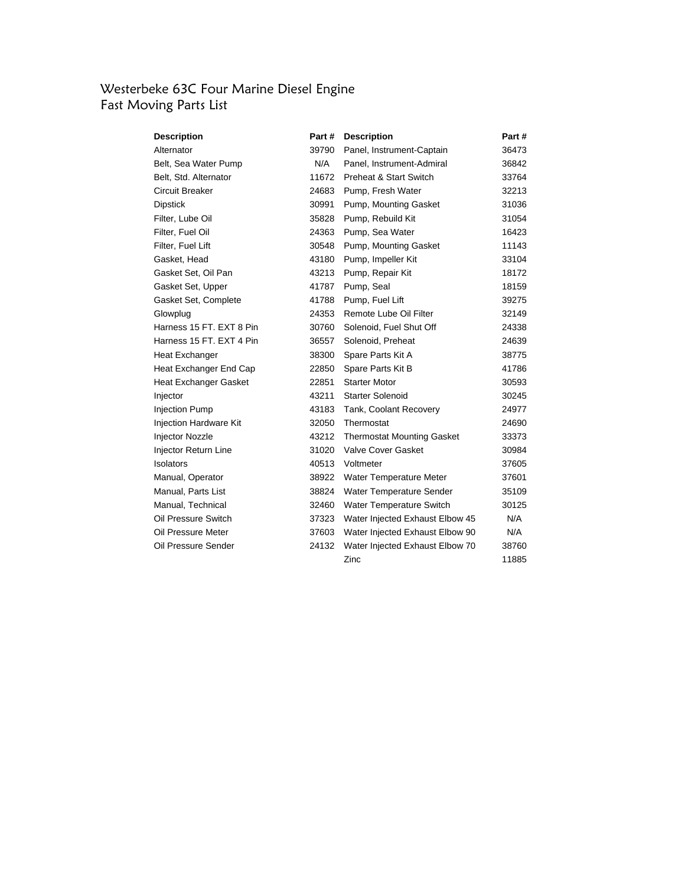## Westerbeke 63C Four Marine Diesel Engine Fast Moving Parts List

| Description                   | Part # | <b>Description</b>                | Part # |
|-------------------------------|--------|-----------------------------------|--------|
| Alternator                    | 39790  | Panel, Instrument-Captain         | 36473  |
| Belt, Sea Water Pump          | N/A    | Panel, Instrument-Admiral         | 36842  |
| Belt, Std. Alternator         | 11672  | Preheat & Start Switch            | 33764  |
| Circuit Breaker               | 24683  | Pump, Fresh Water                 | 32213  |
| Dipstick                      | 30991  | Pump, Mounting Gasket             | 31036  |
| Filter, Lube Oil              | 35828  | Pump, Rebuild Kit                 | 31054  |
| Filter, Fuel Oil              | 24363  | Pump, Sea Water                   | 16423  |
| Filter, Fuel Lift             | 30548  | Pump, Mounting Gasket             | 11143  |
| Gasket, Head                  | 43180  | Pump, Impeller Kit                | 33104  |
| Gasket Set, Oil Pan           | 43213  | Pump, Repair Kit                  | 18172  |
| Gasket Set, Upper             | 41787  | Pump, Seal                        | 18159  |
| Gasket Set, Complete          | 41788  | Pump, Fuel Lift                   | 39275  |
| Glowplug                      | 24353  | Remote Lube Oil Filter            | 32149  |
| Harness 15 FT. EXT 8 Pin.     | 30760  | Solenoid, Fuel Shut Off           | 24338  |
| Harness 15 FT, EXT 4 Pin      | 36557  | Solenoid, Preheat                 | 24639  |
| Heat Exchanger                | 38300  | Spare Parts Kit A                 | 38775  |
| Heat Exchanger End Cap        | 22850  | Spare Parts Kit B                 | 41786  |
| Heat Exchanger Gasket         | 22851  | <b>Starter Motor</b>              | 30593  |
| Injector                      | 43211  | <b>Starter Solenoid</b>           | 30245  |
| <b>Injection Pump</b>         | 43183  | Tank, Coolant Recovery            | 24977  |
| <b>Injection Hardware Kit</b> | 32050  | Thermostat                        | 24690  |
| <b>Injector Nozzle</b>        | 43212  | <b>Thermostat Mounting Gasket</b> | 33373  |
| Injector Return Line          | 31020  | Valve Cover Gasket                | 30984  |
| Isolators                     | 40513  | Voltmeter                         | 37605  |
| Manual, Operator              | 38922  | Water Temperature Meter           | 37601  |
| Manual, Parts List            | 38824  | Water Temperature Sender          | 35109  |
| Manual, Technical             | 32460  | Water Temperature Switch          | 30125  |
| Oil Pressure Switch           | 37323  | Water Injected Exhaust Elbow 45   | N/A    |
| Oil Pressure Meter            | 37603  | Water Injected Exhaust Elbow 90   | N/A    |
| Oil Pressure Sender           | 24132  | Water Injected Exhaust Elbow 70   | 38760  |
|                               |        | Zinc                              | 11885  |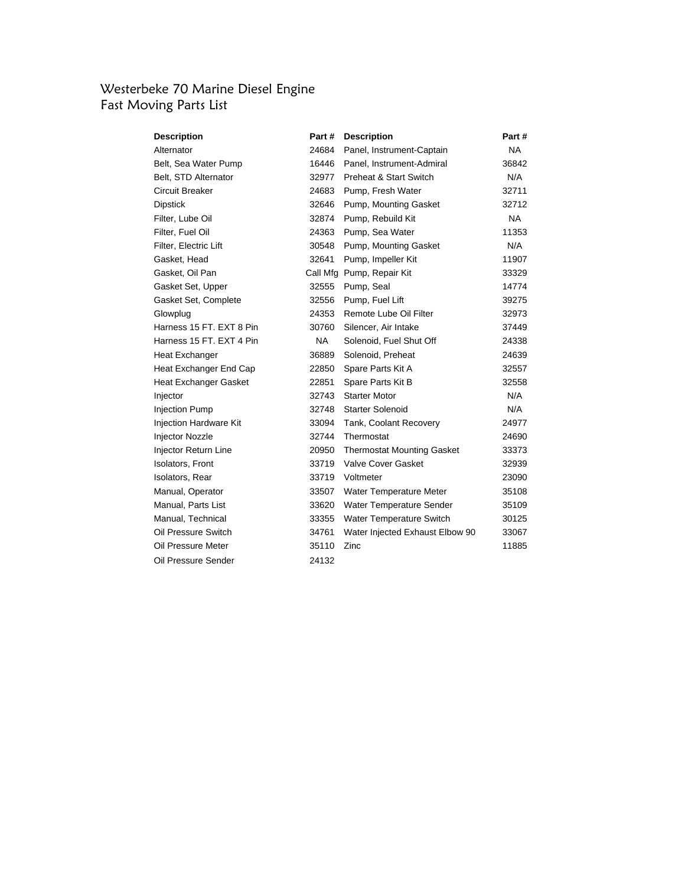### Westerbeke 70 Marine Diesel Engine Fast Moving Parts List

| Description                   | Part #    | <b>Description</b>                | Part #    |
|-------------------------------|-----------|-----------------------------------|-----------|
| Alternator                    | 24684     | Panel, Instrument-Captain         | <b>NA</b> |
| Belt, Sea Water Pump          | 16446     | Panel, Instrument-Admiral         | 36842     |
| Belt, STD Alternator          | 32977     | Preheat & Start Switch            | N/A       |
| Circuit Breaker               | 24683     | Pump, Fresh Water                 | 32711     |
| <b>Dipstick</b>               | 32646     | Pump, Mounting Gasket             | 32712     |
| Filter, Lube Oil              | 32874     | Pump, Rebuild Kit                 | <b>NA</b> |
| Filter, Fuel Oil              | 24363     | Pump, Sea Water                   | 11353     |
| Filter, Electric Lift         |           | 30548 Pump, Mounting Gasket       | N/A       |
| Gasket, Head                  | 32641     | Pump, Impeller Kit                | 11907     |
| Gasket, Oil Pan               |           | Call Mfg Pump, Repair Kit         | 33329     |
| Gasket Set, Upper             |           | 32555 Pump, Seal                  | 14774     |
| Gasket Set, Complete          | 32556     | Pump, Fuel Lift                   | 39275     |
| Glowplug                      | 24353     | Remote Lube Oil Filter            | 32973     |
| Harness 15 FT. EXT 8 Pin      | 30760     | Silencer, Air Intake              | 37449     |
| Harness 15 FT. EXT 4 Pin      | <b>NA</b> | Solenoid, Fuel Shut Off           | 24338     |
| Heat Exchanger                | 36889     | Solenoid, Preheat                 | 24639     |
| Heat Exchanger End Cap        | 22850     | Spare Parts Kit A                 | 32557     |
| Heat Exchanger Gasket         | 22851     | Spare Parts Kit B                 | 32558     |
| Injector                      | 32743     | <b>Starter Motor</b>              | N/A       |
| <b>Injection Pump</b>         | 32748     | Starter Solenoid                  | N/A       |
| <b>Injection Hardware Kit</b> | 33094     | Tank, Coolant Recovery            | 24977     |
| Injector Nozzle               | 32744     | Thermostat                        | 24690     |
| Injector Return Line          | 20950     | <b>Thermostat Mounting Gasket</b> | 33373     |
| Isolators, Front              | 33719     | <b>Valve Cover Gasket</b>         | 32939     |
| Isolators, Rear               | 33719     | Voltmeter                         | 23090     |
| Manual, Operator              | 33507     | Water Temperature Meter           | 35108     |
| Manual, Parts List            | 33620     | Water Temperature Sender          | 35109     |
| Manual, Technical             | 33355     | Water Temperature Switch          | 30125     |
| Oil Pressure Switch           | 34761     | Water Injected Exhaust Elbow 90   | 33067     |
| Oil Pressure Meter            | 35110     | Zinc                              | 11885     |
| Oil Pressure Sender           | 24132     |                                   |           |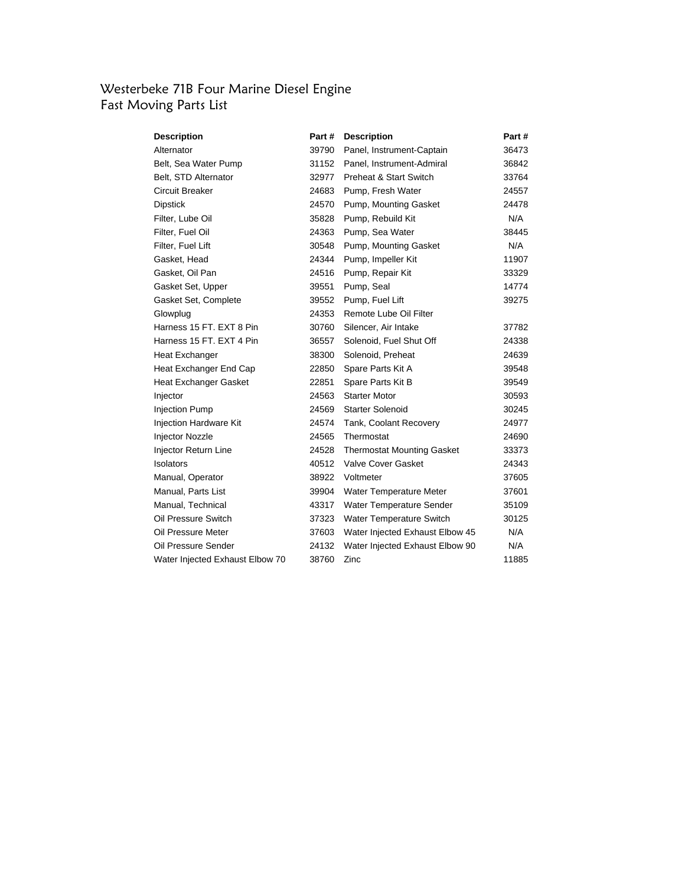#### Westerbeke 71B Four Marine Diesel Engine Fast Moving Parts List

| Description                     | Part # | <b>Description</b>                | Part # |
|---------------------------------|--------|-----------------------------------|--------|
| Alternator                      | 39790  | Panel, Instrument-Captain         | 36473  |
| Belt, Sea Water Pump            |        | 31152 Panel, Instrument-Admiral   | 36842  |
| Belt, STD Alternator            | 32977  | <b>Preheat &amp; Start Switch</b> | 33764  |
| Circuit Breaker                 | 24683  | Pump, Fresh Water                 | 24557  |
| <b>Dipstick</b>                 |        | 24570 Pump, Mounting Gasket       | 24478  |
| Filter, Lube Oil                | 35828  | Pump, Rebuild Kit                 | N/A    |
| Filter, Fuel Oil                | 24363  | Pump, Sea Water                   | 38445  |
| Filter, Fuel Lift               | 30548  | Pump, Mounting Gasket             | N/A    |
| Gasket, Head                    | 24344  | Pump, Impeller Kit                | 11907  |
| Gasket, Oil Pan                 | 24516  | Pump, Repair Kit                  | 33329  |
| Gasket Set, Upper               | 39551  | Pump, Seal                        | 14774  |
| Gasket Set, Complete            | 39552  | Pump, Fuel Lift                   | 39275  |
| Glowplug                        | 24353  | Remote Lube Oil Filter            |        |
| Harness 15 FT. EXT 8 Pin        | 30760  | Silencer, Air Intake              | 37782  |
| Harness 15 FT. EXT 4 Pin        | 36557  | Solenoid, Fuel Shut Off           | 24338  |
| Heat Exchanger                  | 38300  | Solenoid, Preheat                 | 24639  |
| Heat Exchanger End Cap          | 22850  | Spare Parts Kit A                 | 39548  |
| Heat Exchanger Gasket           | 22851  | Spare Parts Kit B                 | 39549  |
| Injector                        | 24563  | <b>Starter Motor</b>              | 30593  |
| <b>Injection Pump</b>           | 24569  | <b>Starter Solenoid</b>           | 30245  |
| <b>Injection Hardware Kit</b>   | 24574  | Tank, Coolant Recovery            | 24977  |
| Injector Nozzle                 | 24565  | Thermostat                        | 24690  |
| Injector Return Line            | 24528  | <b>Thermostat Mounting Gasket</b> | 33373  |
| Isolators                       | 40512  | Valve Cover Gasket                | 24343  |
| Manual, Operator                | 38922  | Voltmeter                         | 37605  |
| Manual, Parts List              | 39904  | Water Temperature Meter           | 37601  |
| Manual, Technical               | 43317  | Water Temperature Sender          | 35109  |
| Oil Pressure Switch             |        | 37323 Water Temperature Switch    | 30125  |
| Oil Pressure Meter              | 37603  | Water Injected Exhaust Elbow 45   | N/A    |
| Oil Pressure Sender             | 24132  | Water Injected Exhaust Elbow 90   | N/A    |
| Water Injected Exhaust Elbow 70 | 38760  | Zinc                              | 11885  |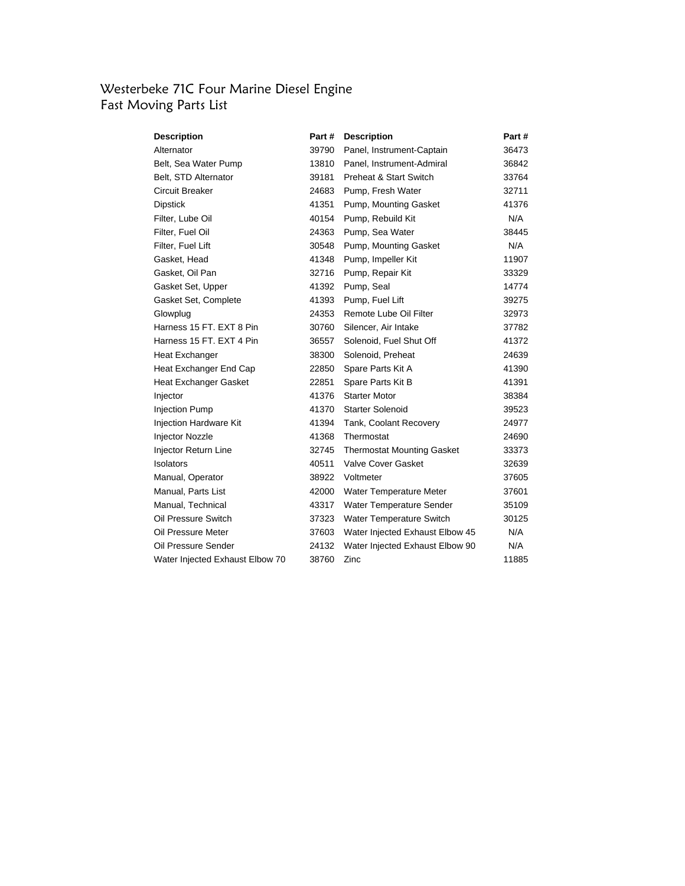#### Westerbeke 71C Four Marine Diesel Engine Fast Moving Parts List

| Description                     | Part # | <b>Description</b>                | Part # |
|---------------------------------|--------|-----------------------------------|--------|
| Alternator                      | 39790  | Panel, Instrument-Captain         | 36473  |
| Belt, Sea Water Pump            | 13810  | Panel, Instrument-Admiral         | 36842  |
| Belt, STD Alternator            | 39181  | <b>Preheat &amp; Start Switch</b> | 33764  |
| Circuit Breaker                 | 24683  | Pump, Fresh Water                 | 32711  |
| Dipstick                        | 41351  | Pump, Mounting Gasket             | 41376  |
| Filter, Lube Oil                | 40154  | Pump, Rebuild Kit                 | N/A    |
| Filter, Fuel Oil                | 24363  | Pump, Sea Water                   | 38445  |
| Filter, Fuel Lift               | 30548  | Pump, Mounting Gasket             | N/A    |
| Gasket, Head                    | 41348  | Pump, Impeller Kit                | 11907  |
| Gasket, Oil Pan                 | 32716  | Pump, Repair Kit                  | 33329  |
| Gasket Set, Upper               | 41392  | Pump, Seal                        | 14774  |
| Gasket Set, Complete            | 41393  | Pump, Fuel Lift                   | 39275  |
| Glowplug                        | 24353  | Remote Lube Oil Filter            | 32973  |
| Harness 15 FT, EXT 8 Pin        | 30760  | Silencer, Air Intake              | 37782  |
| Harness 15 FT, EXT 4 Pin        | 36557  | Solenoid, Fuel Shut Off           | 41372  |
| Heat Exchanger                  | 38300  | Solenoid, Preheat                 | 24639  |
| Heat Exchanger End Cap          | 22850  | Spare Parts Kit A                 | 41390  |
| Heat Exchanger Gasket           | 22851  | Spare Parts Kit B                 | 41391  |
| Injector                        | 41376  | <b>Starter Motor</b>              | 38384  |
| <b>Injection Pump</b>           | 41370  | <b>Starter Solenoid</b>           | 39523  |
| <b>Injection Hardware Kit</b>   | 41394  | Tank, Coolant Recovery            | 24977  |
| Injector Nozzle                 | 41368  | Thermostat                        | 24690  |
| <b>Injector Return Line</b>     | 32745  | <b>Thermostat Mounting Gasket</b> | 33373  |
| Isolators                       | 40511  | Valve Cover Gasket                | 32639  |
| Manual, Operator                | 38922  | Voltmeter                         | 37605  |
| Manual, Parts List              | 42000  | Water Temperature Meter           | 37601  |
| Manual, Technical               | 43317  | Water Temperature Sender          | 35109  |
| Oil Pressure Switch             |        | 37323 Water Temperature Switch    | 30125  |
| Oil Pressure Meter              | 37603  | Water Injected Exhaust Elbow 45   | N/A    |
| Oil Pressure Sender             | 24132  | Water Injected Exhaust Elbow 90   | N/A    |
| Water Injected Exhaust Elbow 70 | 38760  | Zinc                              | 11885  |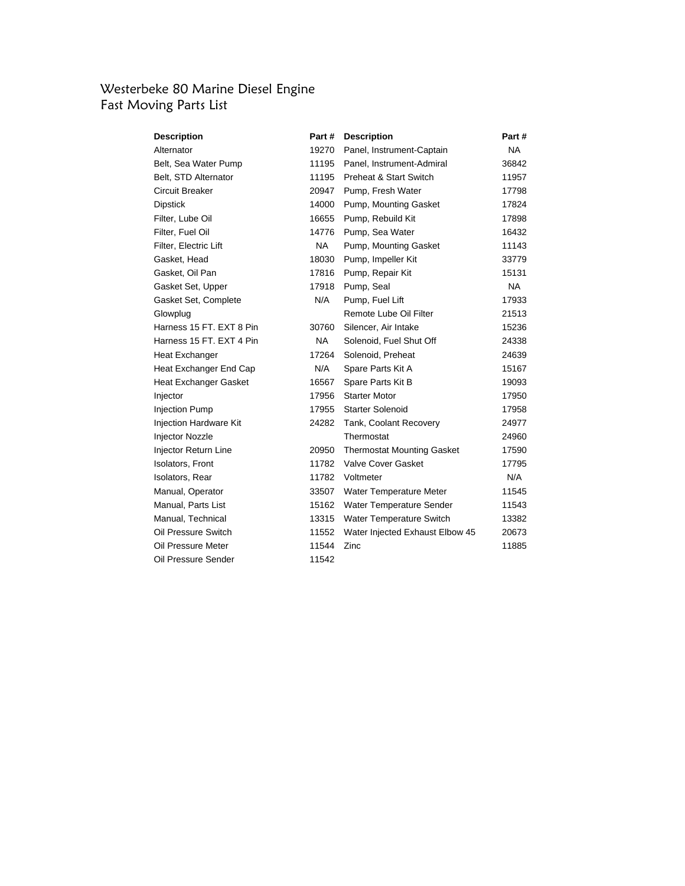## Westerbeke 80 Marine Diesel Engine Fast Moving Parts List

| <b>Description</b>       | Part#     | <b>Description</b>                | Part#     |
|--------------------------|-----------|-----------------------------------|-----------|
| Alternator               | 19270     | Panel, Instrument-Captain         | <b>NA</b> |
| Belt, Sea Water Pump     | 11195     | Panel, Instrument-Admiral         | 36842     |
| Belt, STD Alternator     | 11195     | Preheat & Start Switch            | 11957     |
| Circuit Breaker          | 20947     | Pump, Fresh Water                 | 17798     |
| <b>Dipstick</b>          | 14000     | Pump, Mounting Gasket             | 17824     |
| Filter, Lube Oil         | 16655     | Pump, Rebuild Kit                 | 17898     |
| Filter, Fuel Oil         | 14776     | Pump, Sea Water                   | 16432     |
| Filter, Electric Lift    | <b>NA</b> | Pump, Mounting Gasket             | 11143     |
| Gasket, Head             | 18030     | Pump, Impeller Kit                | 33779     |
| Gasket, Oil Pan          | 17816     | Pump, Repair Kit                  | 15131     |
| Gasket Set, Upper        | 17918     | Pump, Seal                        | <b>NA</b> |
| Gasket Set, Complete     | N/A       | Pump, Fuel Lift                   | 17933     |
| Glowplug                 |           | Remote Lube Oil Filter            | 21513     |
| Harness 15 FT. EXT 8 Pin | 30760     | Silencer, Air Intake              | 15236     |
| Harness 15 FT. EXT 4 Pin | <b>NA</b> | Solenoid, Fuel Shut Off           | 24338     |
| Heat Exchanger           | 17264     | Solenoid, Preheat                 | 24639     |
| Heat Exchanger End Cap   | N/A       | Spare Parts Kit A                 | 15167     |
| Heat Exchanger Gasket    | 16567     | Spare Parts Kit B                 | 19093     |
| Injector                 | 17956     | <b>Starter Motor</b>              | 17950     |
| <b>Injection Pump</b>    | 17955     | <b>Starter Solenoid</b>           | 17958     |
| Injection Hardware Kit   | 24282     | Tank, Coolant Recovery            | 24977     |
| Injector Nozzle          |           | Thermostat                        | 24960     |
| Injector Return Line     | 20950     | <b>Thermostat Mounting Gasket</b> | 17590     |
| <b>Isolators, Front</b>  | 11782     | <b>Valve Cover Gasket</b>         | 17795     |
| <b>Isolators, Rear</b>   | 11782     | Voltmeter                         | N/A       |
| Manual, Operator         | 33507     | Water Temperature Meter           | 11545     |
| Manual, Parts List       | 15162     | Water Temperature Sender          | 11543     |
| Manual, Technical        | 13315     | <b>Water Temperature Switch</b>   | 13382     |
| Oil Pressure Switch      | 11552     | Water Injected Exhaust Elbow 45   | 20673     |
| Oil Pressure Meter       | 11544     | Zinc                              | 11885     |
| Oil Pressure Sender      | 11542     |                                   |           |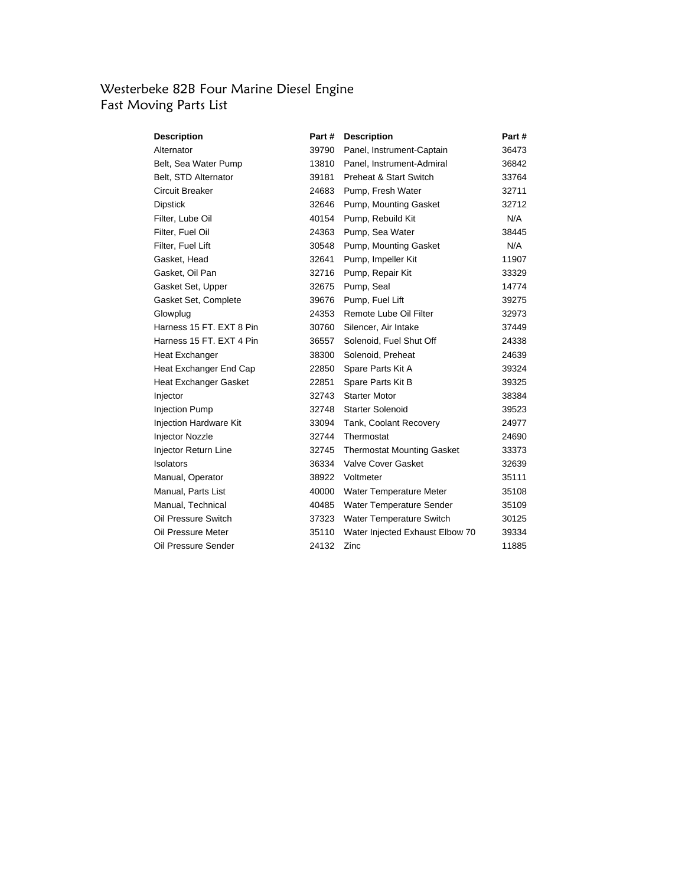### Westerbeke 82B Four Marine Diesel Engine Fast Moving Parts List

| Description              | Part # | <b>Description</b>                | Part # |
|--------------------------|--------|-----------------------------------|--------|
| Alternator               | 39790  | Panel, Instrument-Captain         | 36473  |
| Belt, Sea Water Pump     | 13810  | Panel, Instrument-Admiral         | 36842  |
| Belt, STD Alternator     | 39181  | Preheat & Start Switch            | 33764  |
| Circuit Breaker          | 24683  | Pump, Fresh Water                 | 32711  |
| Dipstick                 | 32646  | Pump, Mounting Gasket             | 32712  |
| Filter, Lube Oil         | 40154  | Pump, Rebuild Kit                 | N/A    |
| Filter, Fuel Oil         | 24363  | Pump, Sea Water                   | 38445  |
| Filter, Fuel Lift        | 30548  | Pump, Mounting Gasket             | N/A    |
| Gasket, Head             | 32641  | Pump, Impeller Kit                | 11907  |
| Gasket, Oil Pan          | 32716  | Pump, Repair Kit                  | 33329  |
| Gasket Set, Upper        | 32675  | Pump, Seal                        | 14774  |
| Gasket Set, Complete     | 39676  | Pump, Fuel Lift                   | 39275  |
| Glowplug                 | 24353  | Remote Lube Oil Filter            | 32973  |
| Harness 15 FT, EXT 8 Pin | 30760  | Silencer, Air Intake              | 37449  |
| Harness 15 FT. EXT 4 Pin | 36557  | Solenoid, Fuel Shut Off           | 24338  |
| Heat Exchanger           | 38300  | Solenoid, Preheat                 | 24639  |
| Heat Exchanger End Cap   | 22850  | Spare Parts Kit A                 | 39324  |
| Heat Exchanger Gasket    | 22851  | Spare Parts Kit B                 | 39325  |
| Injector                 | 32743  | <b>Starter Motor</b>              | 38384  |
| <b>Injection Pump</b>    | 32748  | <b>Starter Solenoid</b>           | 39523  |
| Injection Hardware Kit   | 33094  | Tank, Coolant Recovery            | 24977  |
| Injector Nozzle          | 32744  | Thermostat                        | 24690  |
| Injector Return Line     | 32745  | <b>Thermostat Mounting Gasket</b> | 33373  |
| Isolators                | 36334  | Valve Cover Gasket                | 32639  |
| Manual, Operator         | 38922  | Voltmeter                         | 35111  |
| Manual, Parts List       | 40000  | Water Temperature Meter           | 35108  |
| Manual, Technical        | 40485  | Water Temperature Sender          | 35109  |
| Oil Pressure Switch      | 37323  | Water Temperature Switch          | 30125  |
| Oil Pressure Meter       | 35110  | Water Injected Exhaust Elbow 70   | 39334  |
| Oil Pressure Sender      | 24132  | Zinc                              | 11885  |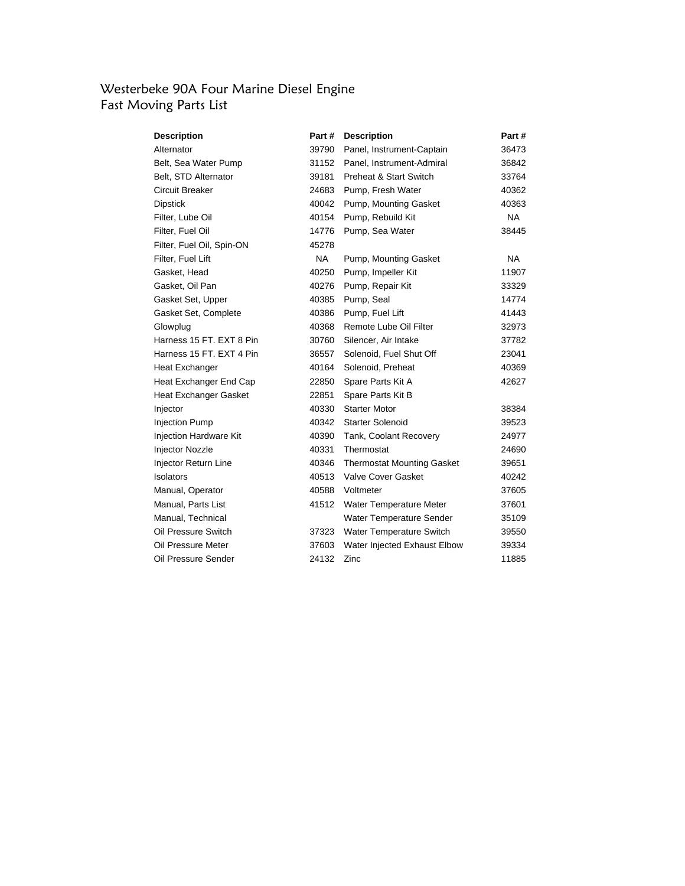# Westerbeke 90A Four Marine Diesel Engine Fast Moving Parts List

| Description                   | Part #    | <b>Description</b>                | Part #    |
|-------------------------------|-----------|-----------------------------------|-----------|
| Alternator                    | 39790     | Panel, Instrument-Captain         | 36473     |
| Belt, Sea Water Pump          | 31152     | Panel, Instrument-Admiral         | 36842     |
| Belt, STD Alternator          | 39181     | <b>Preheat &amp; Start Switch</b> | 33764     |
| Circuit Breaker               | 24683     | Pump, Fresh Water                 | 40362     |
| <b>Dipstick</b>               | 40042     | Pump, Mounting Gasket             | 40363     |
| Filter, Lube Oil              | 40154     | Pump, Rebuild Kit                 | <b>NA</b> |
| Filter, Fuel Oil              | 14776     | Pump, Sea Water                   | 38445     |
| Filter, Fuel Oil, Spin-ON     | 45278     |                                   |           |
| Filter, Fuel Lift             | <b>NA</b> | Pump, Mounting Gasket             | <b>NA</b> |
| Gasket, Head                  | 40250     | Pump, Impeller Kit                | 11907     |
| Gasket, Oil Pan               | 40276     | Pump, Repair Kit                  | 33329     |
| Gasket Set, Upper             | 40385     | Pump, Seal                        | 14774     |
| Gasket Set, Complete          | 40386     | Pump, Fuel Lift                   | 41443     |
| Glowplug                      | 40368     | Remote Lube Oil Filter            | 32973     |
| Harness 15 FT. EXT 8 Pin      | 30760     | Silencer, Air Intake              | 37782     |
| Harness 15 FT, EXT 4 Pin      | 36557     | Solenoid, Fuel Shut Off           | 23041     |
| Heat Exchanger                | 40164     | Solenoid, Preheat                 | 40369     |
| Heat Exchanger End Cap        | 22850     | Spare Parts Kit A                 | 42627     |
| Heat Exchanger Gasket         | 22851     | Spare Parts Kit B                 |           |
| Injector                      | 40330     | <b>Starter Motor</b>              | 38384     |
| <b>Injection Pump</b>         | 40342     | <b>Starter Solenoid</b>           | 39523     |
| <b>Injection Hardware Kit</b> | 40390     | Tank, Coolant Recovery            | 24977     |
| Injector Nozzle               | 40331     | Thermostat                        | 24690     |
| Injector Return Line          | 40346     | <b>Thermostat Mounting Gasket</b> | 39651     |
| Isolators                     | 40513     | Valve Cover Gasket                | 40242     |
| Manual, Operator              | 40588     | Voltmeter                         | 37605     |
| Manual, Parts List            | 41512     | Water Temperature Meter           | 37601     |
| Manual, Technical             |           | Water Temperature Sender          | 35109     |
| Oil Pressure Switch           | 37323     | Water Temperature Switch          | 39550     |
| Oil Pressure Meter            | 37603     | Water Injected Exhaust Elbow      | 39334     |
| Oil Pressure Sender           | 24132     | Zinc                              | 11885     |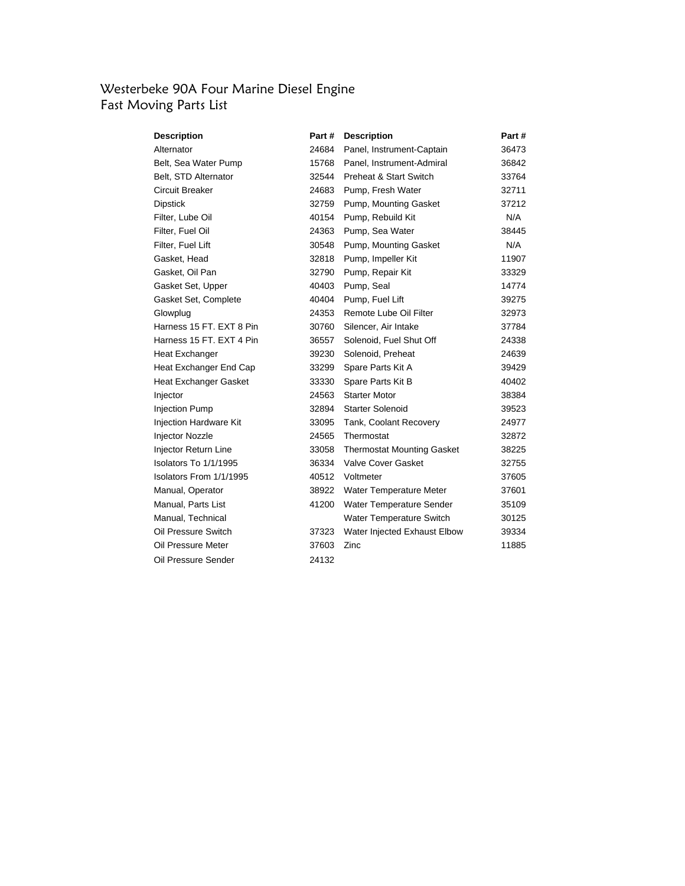# Westerbeke 90A Four Marine Diesel Engine Fast Moving Parts List

| Description              | Part # | <b>Description</b>                | Part # |
|--------------------------|--------|-----------------------------------|--------|
| Alternator               | 24684  | Panel, Instrument-Captain         | 36473  |
| Belt, Sea Water Pump     | 15768  | Panel, Instrument-Admiral         | 36842  |
| Belt, STD Alternator     | 32544  | <b>Preheat &amp; Start Switch</b> | 33764  |
| Circuit Breaker          | 24683  | Pump, Fresh Water                 | 32711  |
| <b>Dipstick</b>          | 32759  | Pump, Mounting Gasket             | 37212  |
| Filter, Lube Oil         | 40154  | Pump, Rebuild Kit                 | N/A    |
| Filter, Fuel Oil         | 24363  | Pump, Sea Water                   | 38445  |
| Filter, Fuel Lift        | 30548  | Pump, Mounting Gasket             | N/A    |
| Gasket, Head             | 32818  | Pump, Impeller Kit                | 11907  |
| Gasket, Oil Pan          | 32790  | Pump, Repair Kit                  | 33329  |
| Gasket Set, Upper        | 40403  | Pump, Seal                        | 14774  |
| Gasket Set, Complete     | 40404  | Pump, Fuel Lift                   | 39275  |
| Glowplug                 | 24353  | Remote Lube Oil Filter            | 32973  |
| Harness 15 FT, EXT 8 Pin | 30760  | Silencer, Air Intake              | 37784  |
| Harness 15 FT. EXT 4 Pin | 36557  | Solenoid, Fuel Shut Off           | 24338  |
| Heat Exchanger           | 39230  | Solenoid, Preheat                 | 24639  |
| Heat Exchanger End Cap   | 33299  | Spare Parts Kit A                 | 39429  |
| Heat Exchanger Gasket    | 33330  | Spare Parts Kit B                 | 40402  |
| Injector                 | 24563  | <b>Starter Motor</b>              | 38384  |
| <b>Injection Pump</b>    | 32894  | <b>Starter Solenoid</b>           | 39523  |
| Injection Hardware Kit   | 33095  | Tank, Coolant Recovery            | 24977  |
| <b>Injector Nozzle</b>   | 24565  | Thermostat                        | 32872  |
| Injector Return Line     | 33058  | <b>Thermostat Mounting Gasket</b> | 38225  |
| Isolators To 1/1/1995    | 36334  | Valve Cover Gasket                | 32755  |
| Isolators From 1/1/1995  | 40512  | Voltmeter                         | 37605  |
| Manual, Operator         | 38922  | Water Temperature Meter           | 37601  |
| Manual, Parts List       | 41200  | Water Temperature Sender          | 35109  |
| Manual, Technical        |        | Water Temperature Switch          | 30125  |
| Oil Pressure Switch      | 37323  | Water Injected Exhaust Elbow      | 39334  |
| Oil Pressure Meter       | 37603  | Zinc                              | 11885  |
| Oil Pressure Sender      | 24132  |                                   |        |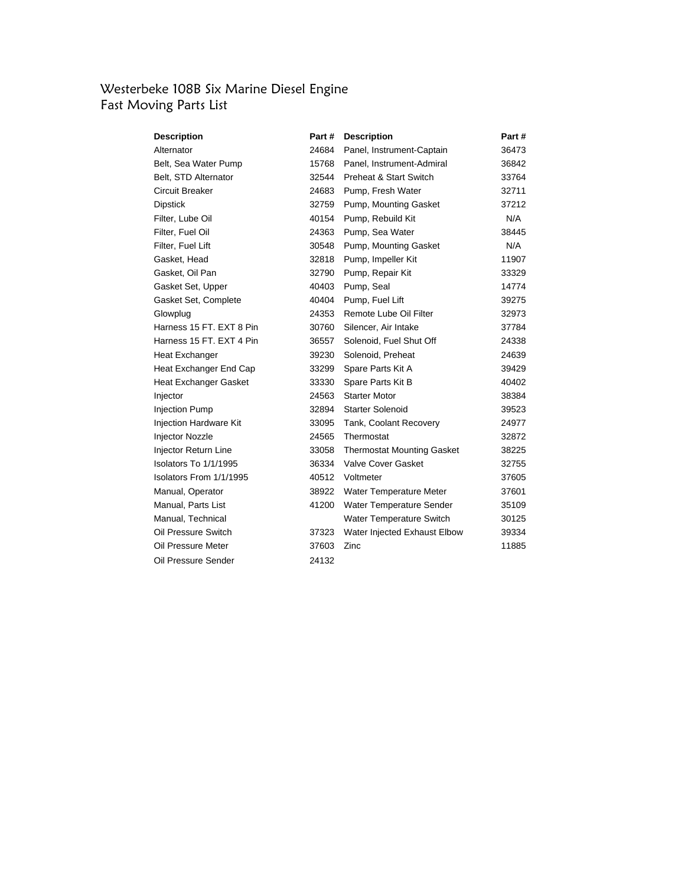# Westerbeke 108B Six Marine Diesel Engine Fast Moving Parts List

| Description                   | Part # | <b>Description</b>                | Part # |
|-------------------------------|--------|-----------------------------------|--------|
| Alternator                    | 24684  | Panel, Instrument-Captain         | 36473  |
| Belt, Sea Water Pump          | 15768  | Panel, Instrument-Admiral         | 36842  |
| Belt, STD Alternator          | 32544  | Preheat & Start Switch            | 33764  |
| Circuit Breaker               | 24683  | Pump, Fresh Water                 | 32711  |
| <b>Dipstick</b>               | 32759  | Pump, Mounting Gasket             | 37212  |
| Filter, Lube Oil              | 40154  | Pump, Rebuild Kit                 | N/A    |
| Filter, Fuel Oil              | 24363  | Pump, Sea Water                   | 38445  |
| Filter, Fuel Lift             | 30548  | Pump, Mounting Gasket             | N/A    |
| Gasket, Head                  | 32818  | Pump, Impeller Kit                | 11907  |
| Gasket, Oil Pan               | 32790  | Pump, Repair Kit                  | 33329  |
| Gasket Set, Upper             | 40403  | Pump, Seal                        | 14774  |
| Gasket Set, Complete          | 40404  | Pump, Fuel Lift                   | 39275  |
| Glowplug                      | 24353  | Remote Lube Oil Filter            | 32973  |
| Harness 15 FT, EXT 8 Pin      | 30760  | Silencer, Air Intake              | 37784  |
| Harness 15 FT. EXT 4 Pin      | 36557  | Solenoid, Fuel Shut Off           | 24338  |
| Heat Exchanger                | 39230  | Solenoid, Preheat                 | 24639  |
| Heat Exchanger End Cap        | 33299  | Spare Parts Kit A                 | 39429  |
| Heat Exchanger Gasket         | 33330  | Spare Parts Kit B                 | 40402  |
| Injector                      | 24563  | <b>Starter Motor</b>              | 38384  |
| Injection Pump                | 32894  | <b>Starter Solenoid</b>           | 39523  |
| <b>Injection Hardware Kit</b> | 33095  | Tank, Coolant Recovery            | 24977  |
| Injector Nozzle               | 24565  | Thermostat                        | 32872  |
| Injector Return Line          | 33058  | <b>Thermostat Mounting Gasket</b> | 38225  |
| Isolators To 1/1/1995         | 36334  | Valve Cover Gasket                | 32755  |
| Isolators From 1/1/1995       | 40512  | Voltmeter                         | 37605  |
| Manual, Operator              | 38922  | Water Temperature Meter           | 37601  |
| Manual, Parts List            | 41200  | Water Temperature Sender          | 35109  |
| Manual, Technical             |        | Water Temperature Switch          | 30125  |
| Oil Pressure Switch           | 37323  | Water Injected Exhaust Elbow      | 39334  |
| Oil Pressure Meter            | 37603  | Zinc                              | 11885  |
| Oil Pressure Sender           | 24132  |                                   |        |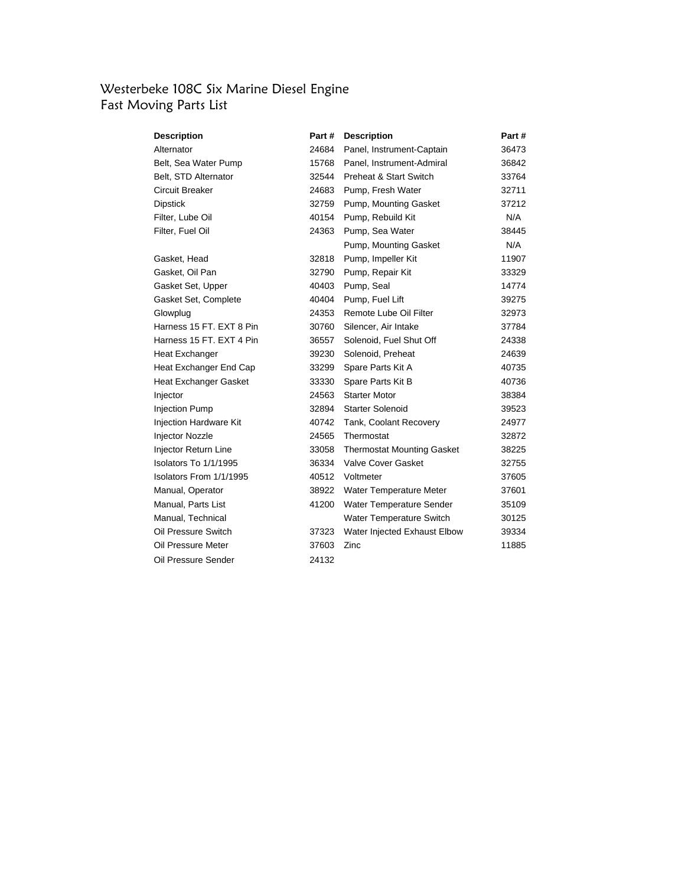#### Westerbeke 108C Six Marine Diesel Engine Fast Moving Parts List

| Description              | Part # | <b>Description</b>                | Part # |
|--------------------------|--------|-----------------------------------|--------|
| Alternator               | 24684  | Panel, Instrument-Captain         | 36473  |
| Belt, Sea Water Pump     | 15768  | Panel, Instrument-Admiral         | 36842  |
| Belt, STD Alternator     | 32544  | <b>Preheat &amp; Start Switch</b> | 33764  |
| Circuit Breaker          | 24683  | Pump, Fresh Water                 | 32711  |
| <b>Dipstick</b>          | 32759  | Pump, Mounting Gasket             | 37212  |
| Filter, Lube Oil         | 40154  | Pump, Rebuild Kit                 | N/A    |
| Filter, Fuel Oil         | 24363  | Pump, Sea Water                   | 38445  |
|                          |        | Pump, Mounting Gasket             | N/A    |
| Gasket, Head             | 32818  | Pump, Impeller Kit                | 11907  |
| Gasket, Oil Pan          | 32790  | Pump, Repair Kit                  | 33329  |
| Gasket Set, Upper        | 40403  | Pump, Seal                        | 14774  |
| Gasket Set, Complete     | 40404  | Pump, Fuel Lift                   | 39275  |
| Glowplug                 | 24353  | Remote Lube Oil Filter            | 32973  |
| Harness 15 FT, EXT 8 Pin | 30760  | Silencer, Air Intake              | 37784  |
| Harness 15 FT. EXT 4 Pin | 36557  | Solenoid, Fuel Shut Off           | 24338  |
| Heat Exchanger           | 39230  | Solenoid, Preheat                 | 24639  |
| Heat Exchanger End Cap   | 33299  | Spare Parts Kit A                 | 40735  |
| Heat Exchanger Gasket    | 33330  | Spare Parts Kit B                 | 40736  |
| Injector                 | 24563  | <b>Starter Motor</b>              | 38384  |
| <b>Injection Pump</b>    | 32894  | <b>Starter Solenoid</b>           | 39523  |
| Injection Hardware Kit   | 40742  | Tank, Coolant Recovery            | 24977  |
| <b>Injector Nozzle</b>   | 24565  | Thermostat                        | 32872  |
| Injector Return Line     | 33058  | <b>Thermostat Mounting Gasket</b> | 38225  |
| Isolators To 1/1/1995    | 36334  | Valve Cover Gasket                | 32755  |
| Isolators From 1/1/1995  | 40512  | Voltmeter                         | 37605  |
| Manual, Operator         | 38922  | Water Temperature Meter           | 37601  |
| Manual, Parts List       | 41200  | Water Temperature Sender          | 35109  |
| Manual, Technical        |        | Water Temperature Switch          | 30125  |
| Oil Pressure Switch      | 37323  | Water Injected Exhaust Elbow      | 39334  |
| Oil Pressure Meter       | 37603  | Zinc                              | 11885  |
| Oil Pressure Sender      | 24132  |                                   |        |